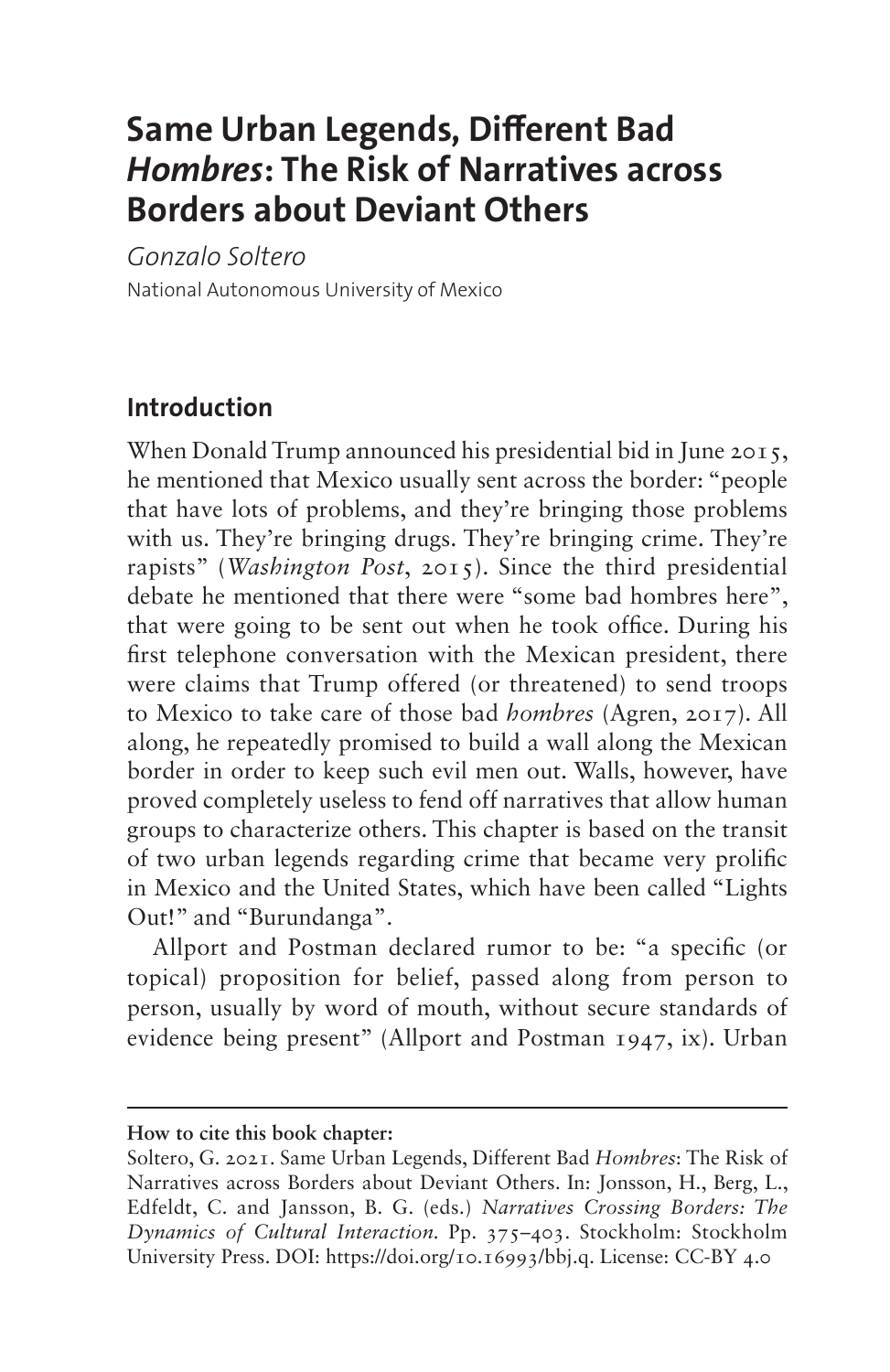# **Same Urban Legends, Different Bad**  *Hombres***: The Risk of Narratives across Borders about Deviant Others**

*Gonzalo Soltero* National Autonomous University of Mexico

## **Introduction**

When Donald Trump announced his presidential bid in June 2015, he mentioned that Mexico usually sent across the border: "people that have lots of problems, and they're bringing those problems with us. They're bringing drugs. They're bringing crime. They're rapists" (*Washington Post*, 2015). Since the third presidential debate he mentioned that there were "some bad hombres here", that were going to be sent out when he took office. During his first telephone conversation with the Mexican president, there were claims that Trump offered (or threatened) to send troops to Mexico to take care of those bad *hombres* (Agren, 2017). All along, he repeatedly promised to build a wall along the Mexican border in order to keep such evil men out. Walls, however, have proved completely useless to fend off narratives that allow human groups to characterize others. This chapter is based on the transit of two urban legends regarding crime that became very prolific in Mexico and the United States, which have been called "Lights Out!" and "Burundanga".

Allport and Postman declared rumor to be: "a specific (or topical) proposition for belief, passed along from person to person, usually by word of mouth, without secure standards of evidence being present" (Allport and Postman 1947, ix). Urban

**How to cite this book chapter:**

Soltero, G. 2021. Same Urban Legends, Different Bad *Hombres*: The Risk of Narratives across Borders about Deviant Others. In: Jonsson, H., Berg, L., Edfeldt, C. and Jansson, B. G. (eds.) *Narratives Crossing Borders: The Dynamics of Cultural Interaction.* Pp. 375–403. Stockholm: Stockholm University Press. DOI: [https://doi.org/10.16993/bbj.q.](https://doi.org/10.16993/bbj.q) License: CC-BY 4.0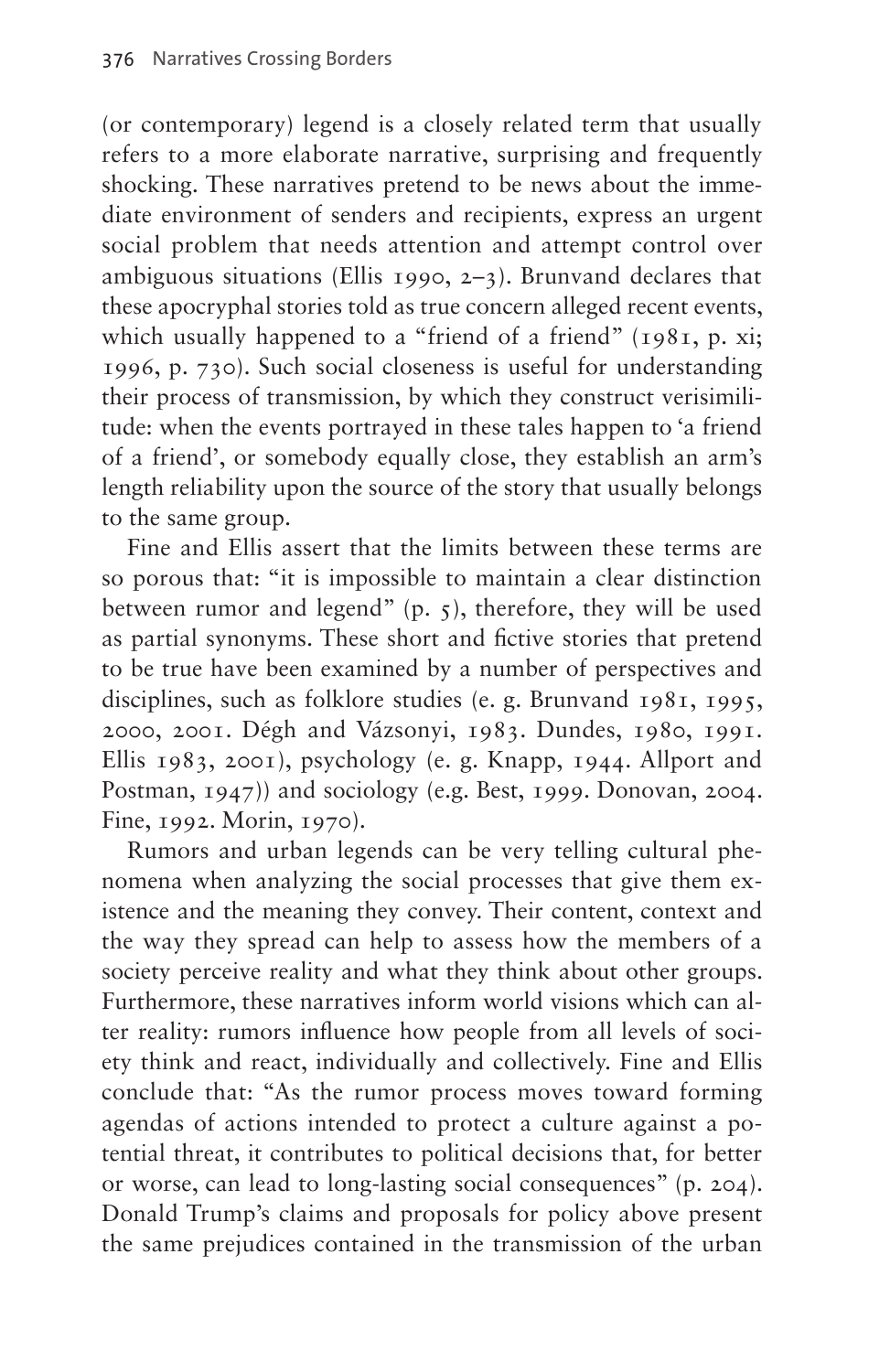(or contemporary) legend is a closely related term that usually refers to a more elaborate narrative, surprising and frequently shocking. These narratives pretend to be news about the immediate environment of senders and recipients, express an urgent social problem that needs attention and attempt control over ambiguous situations (Ellis 1990, 2–3). Brunvand declares that these apocryphal stories told as true concern alleged recent events, which usually happened to a "friend of a friend" (1981, p. xi; 1996, p. 730). Such social closeness is useful for understanding their process of transmission, by which they construct verisimilitude: when the events portrayed in these tales happen to 'a friend of a friend', or somebody equally close, they establish an arm's length reliability upon the source of the story that usually belongs to the same group.

Fine and Ellis assert that the limits between these terms are so porous that: "it is impossible to maintain a clear distinction between rumor and legend" (p. 5), therefore, they will be used as partial synonyms. These short and fictive stories that pretend to be true have been examined by a number of perspectives and disciplines, such as folklore studies (e. g. Brunvand 1981, 1995, 2000, 2001. Dégh and Vázsonyi, 1983. Dundes, 1980, 1991. Ellis 1983, 2001), psychology (e. g. Knapp, 1944. Allport and Postman, 1947)) and sociology (e.g. Best, 1999. Donovan, 2004. Fine, 1992. Morin, 1970).

Rumors and urban legends can be very telling cultural phenomena when analyzing the social processes that give them existence and the meaning they convey. Their content, context and the way they spread can help to assess how the members of a society perceive reality and what they think about other groups. Furthermore, these narratives inform world visions which can alter reality: rumors influence how people from all levels of society think and react, individually and collectively. Fine and Ellis conclude that: "As the rumor process moves toward forming agendas of actions intended to protect a culture against a potential threat, it contributes to political decisions that, for better or worse, can lead to long-lasting social consequences" (p. 204). Donald Trump's claims and proposals for policy above present the same prejudices contained in the transmission of the urban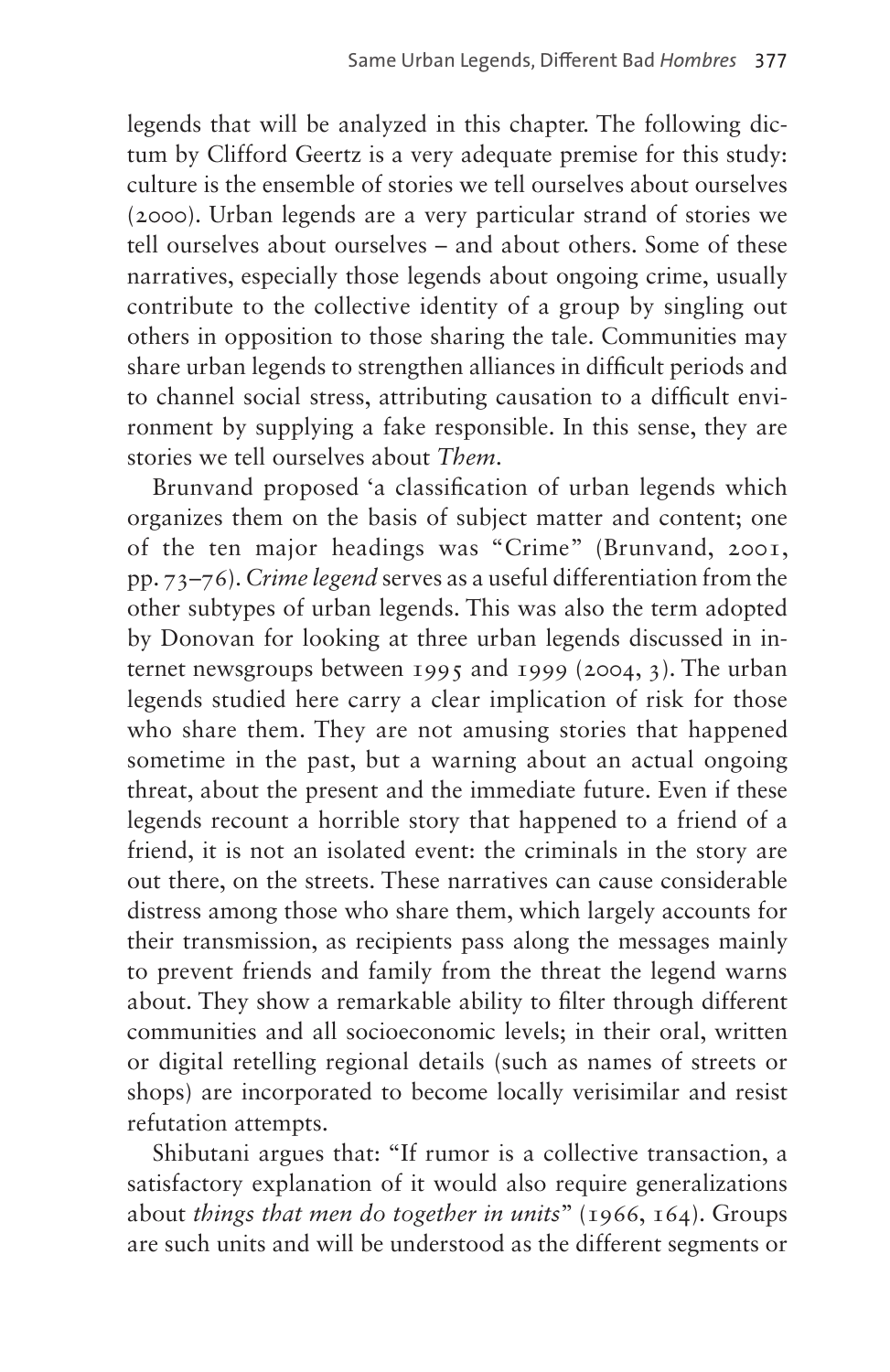legends that will be analyzed in this chapter. The following dictum by Clifford Geertz is a very adequate premise for this study: culture is the ensemble of stories we tell ourselves about ourselves (2000). Urban legends are a very particular strand of stories we tell ourselves about ourselves – and about others. Some of these narratives, especially those legends about ongoing crime, usually contribute to the collective identity of a group by singling out others in opposition to those sharing the tale. Communities may share urban legends to strengthen alliances in difficult periods and to channel social stress, attributing causation to a difficult environment by supplying a fake responsible. In this sense, they are stories we tell ourselves about *Them*.

Brunvand proposed 'a classification of urban legends which organizes them on the basis of subject matter and content; one of the ten major headings was "Crime" (Brunvand, 2001, pp. 73–76). *Crime legend* serves as a useful differentiation from the other subtypes of urban legends. This was also the term adopted by Donovan for looking at three urban legends discussed in internet newsgroups between 1995 and 1999 (2004, 3). The urban legends studied here carry a clear implication of risk for those who share them. They are not amusing stories that happened sometime in the past, but a warning about an actual ongoing threat, about the present and the immediate future. Even if these legends recount a horrible story that happened to a friend of a friend, it is not an isolated event: the criminals in the story are out there, on the streets. These narratives can cause considerable distress among those who share them, which largely accounts for their transmission, as recipients pass along the messages mainly to prevent friends and family from the threat the legend warns about. They show a remarkable ability to filter through different communities and all socioeconomic levels; in their oral, written or digital retelling regional details (such as names of streets or shops) are incorporated to become locally verisimilar and resist refutation attempts.

Shibutani argues that: "If rumor is a collective transaction, a satisfactory explanation of it would also require generalizations about *things that men do together in units*" (1966, 164). Groups are such units and will be understood as the different segments or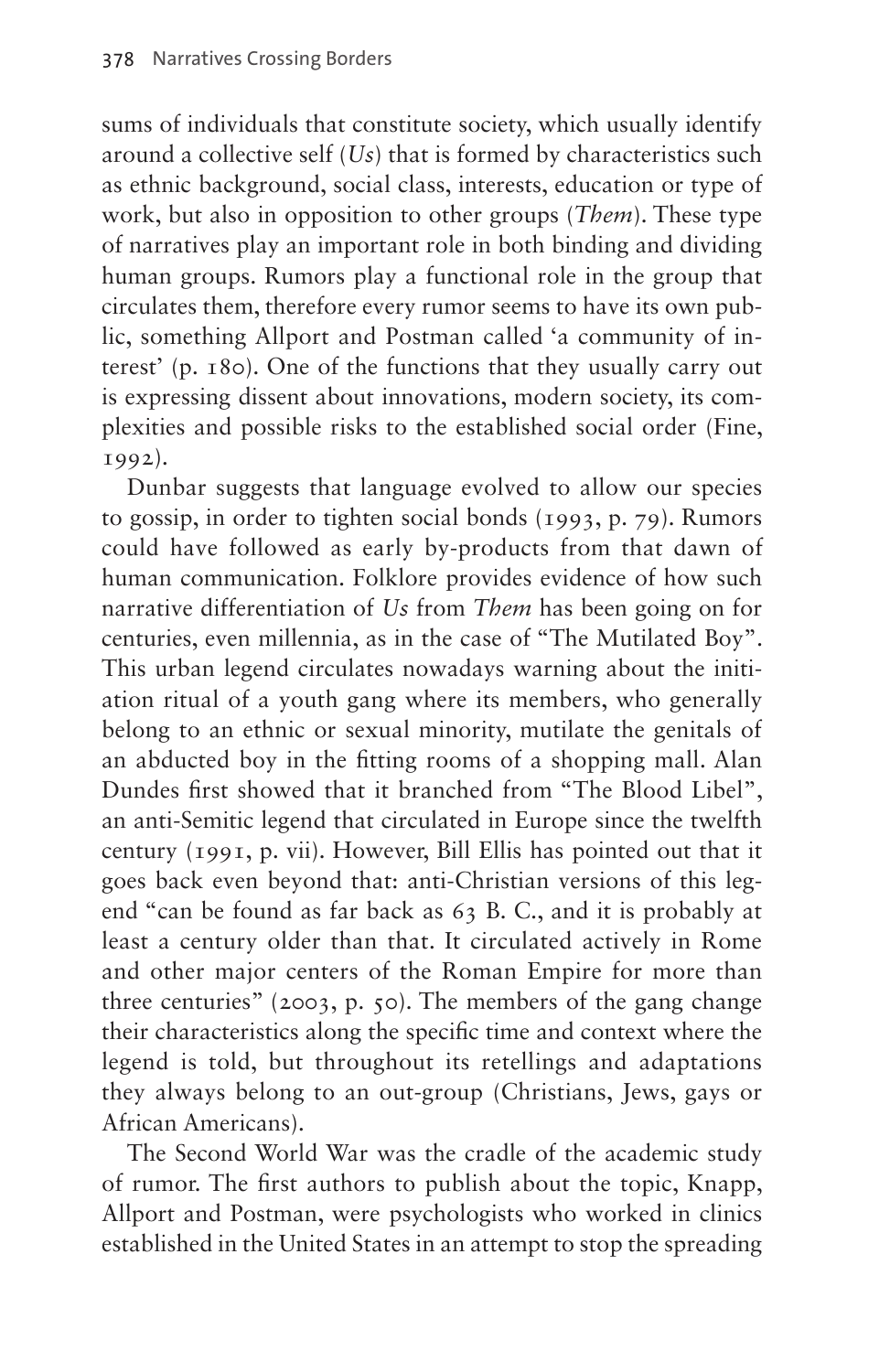sums of individuals that constitute society, which usually identify around a collective self (*Us*) that is formed by characteristics such as ethnic background, social class, interests, education or type of work, but also in opposition to other groups (*Them*). These type of narratives play an important role in both binding and dividing human groups. Rumors play a functional role in the group that circulates them, therefore every rumor seems to have its own public, something Allport and Postman called 'a community of interest' (p. 180). One of the functions that they usually carry out is expressing dissent about innovations, modern society, its complexities and possible risks to the established social order (Fine, 1992).

Dunbar suggests that language evolved to allow our species to gossip, in order to tighten social bonds (1993, p. 79). Rumors could have followed as early by-products from that dawn of human communication. Folklore provides evidence of how such narrative differentiation of *Us* from *Them* has been going on for centuries, even millennia, as in the case of "The Mutilated Boy". This urban legend circulates nowadays warning about the initiation ritual of a youth gang where its members, who generally belong to an ethnic or sexual minority, mutilate the genitals of an abducted boy in the fitting rooms of a shopping mall. Alan Dundes first showed that it branched from "The Blood Libel", an anti-Semitic legend that circulated in Europe since the twelfth century (1991, p. vii). However, Bill Ellis has pointed out that it goes back even beyond that: anti-Christian versions of this legend "can be found as far back as 63 B. C., and it is probably at least a century older than that. It circulated actively in Rome and other major centers of the Roman Empire for more than three centuries" (2003, p. 50). The members of the gang change their characteristics along the specific time and context where the legend is told, but throughout its retellings and adaptations they always belong to an out-group (Christians, Jews, gays or African Americans).

The Second World War was the cradle of the academic study of rumor. The first authors to publish about the topic, Knapp, Allport and Postman, were psychologists who worked in clinics established in the United States in an attempt to stop the spreading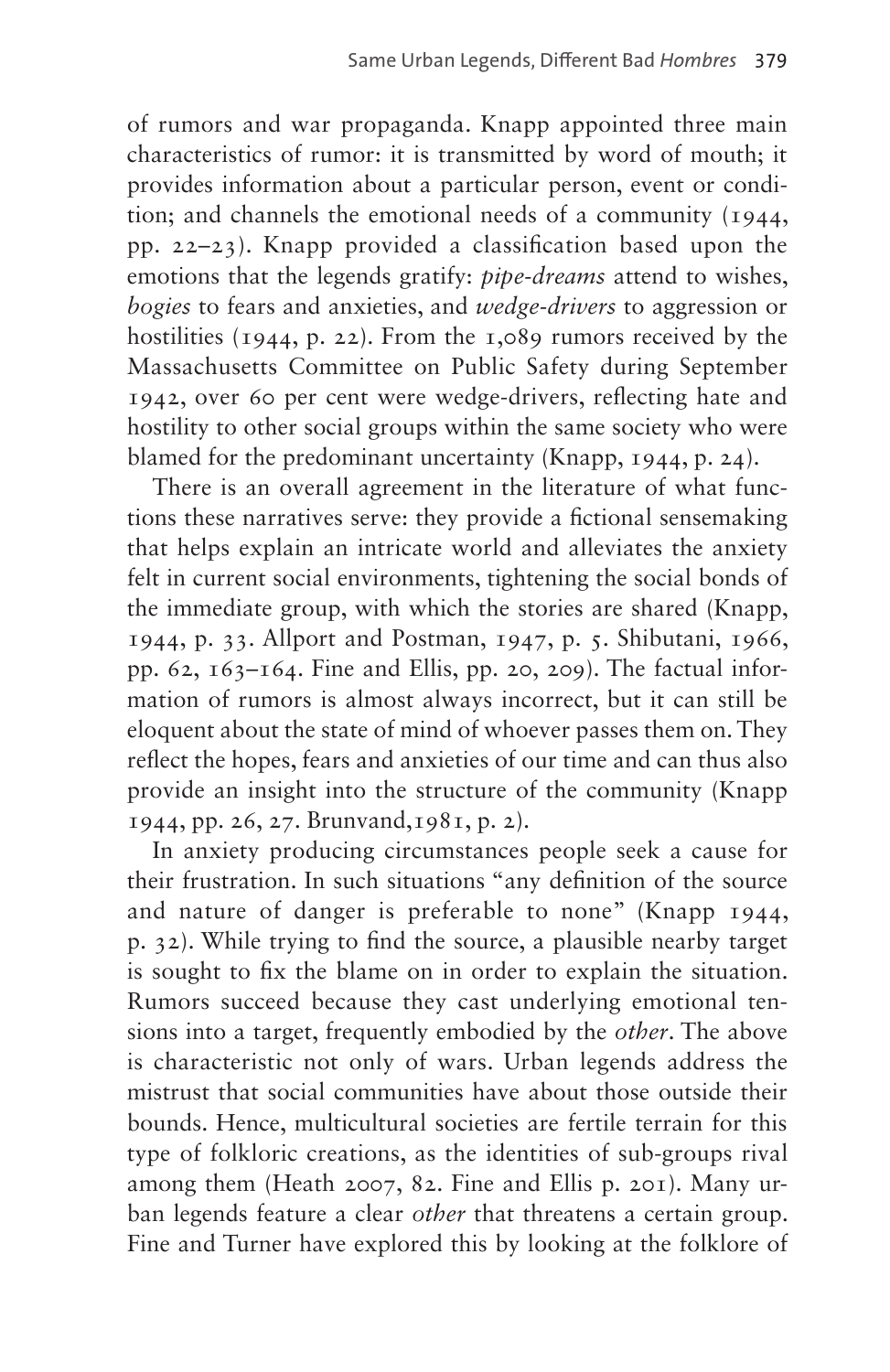of rumors and war propaganda. Knapp appointed three main characteristics of rumor: it is transmitted by word of mouth; it provides information about a particular person, event or condition; and channels the emotional needs of a community (1944, pp. 22–23). Knapp provided a classification based upon the emotions that the legends gratify: *pipe-dreams* attend to wishes, *bogies* to fears and anxieties, and *wedge-drivers* to aggression or hostilities (1944, p. 22). From the 1,089 rumors received by the Massachusetts Committee on Public Safety during September 1942, over 60 per cent were wedge-drivers, reflecting hate and hostility to other social groups within the same society who were blamed for the predominant uncertainty (Knapp, 1944, p. 24).

There is an overall agreement in the literature of what functions these narratives serve: they provide a fictional sensemaking that helps explain an intricate world and alleviates the anxiety felt in current social environments, tightening the social bonds of the immediate group, with which the stories are shared (Knapp, 1944, p. 33. Allport and Postman, 1947, p. 5. Shibutani, 1966, pp. 62, 163–164. Fine and Ellis, pp. 20, 209). The factual information of rumors is almost always incorrect, but it can still be eloquent about the state of mind of whoever passes them on. They reflect the hopes, fears and anxieties of our time and can thus also provide an insight into the structure of the community (Knapp 1944, pp. 26, 27. Brunvand,1981, p. 2).

In anxiety producing circumstances people seek a cause for their frustration. In such situations "any definition of the source and nature of danger is preferable to none" (Knapp 1944, p. 32). While trying to find the source, a plausible nearby target is sought to fix the blame on in order to explain the situation. Rumors succeed because they cast underlying emotional tensions into a target, frequently embodied by the *other*. The above is characteristic not only of wars. Urban legends address the mistrust that social communities have about those outside their bounds. Hence, multicultural societies are fertile terrain for this type of folkloric creations, as the identities of sub-groups rival among them (Heath 2007, 82. Fine and Ellis p. 201). Many urban legends feature a clear *other* that threatens a certain group. Fine and Turner have explored this by looking at the folklore of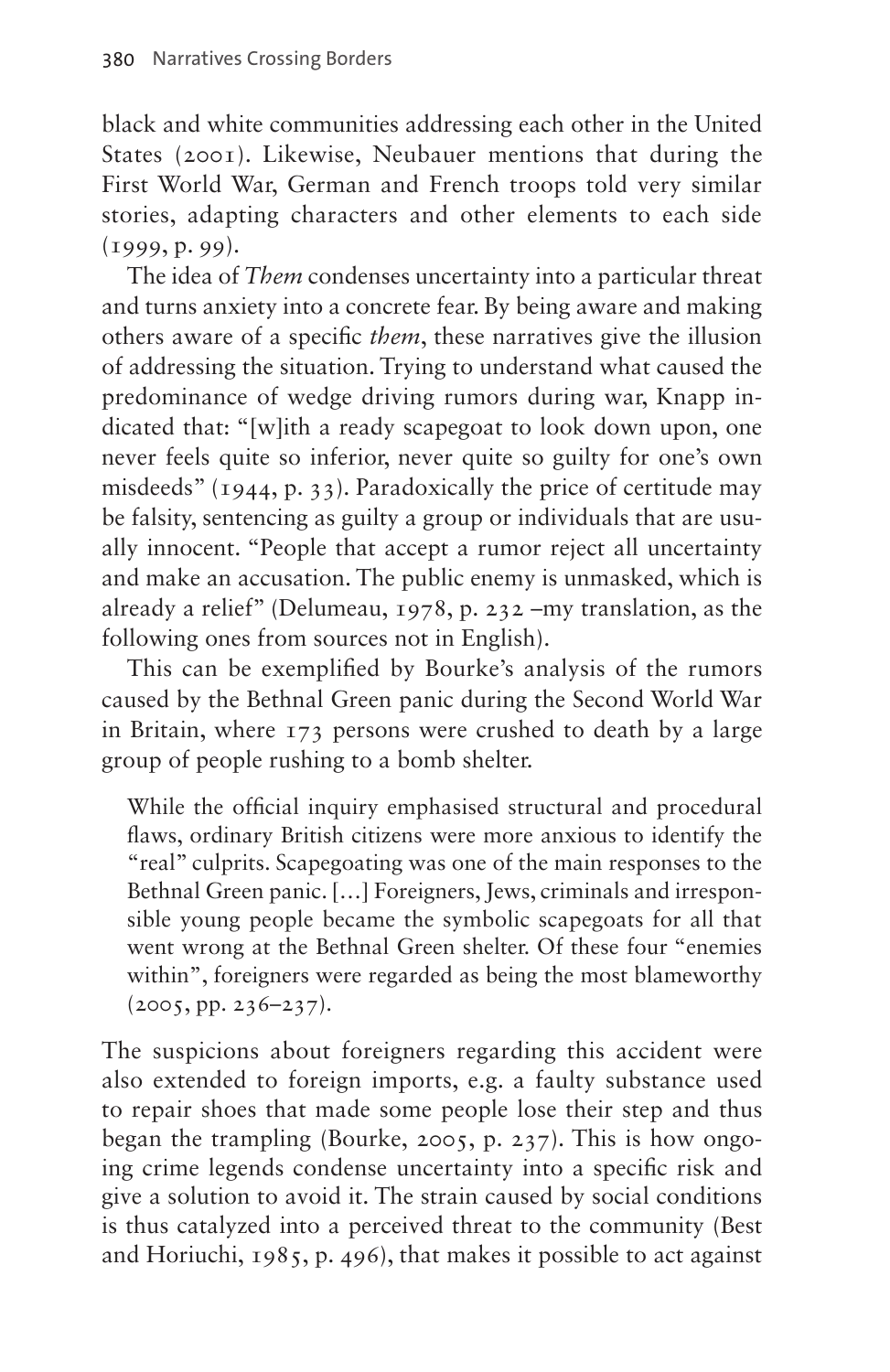black and white communities addressing each other in the United States (2001). Likewise, Neubauer mentions that during the First World War, German and French troops told very similar stories, adapting characters and other elements to each side (1999, p. 99).

The idea of *Them* condenses uncertainty into a particular threat and turns anxiety into a concrete fear. By being aware and making others aware of a specific *them*, these narratives give the illusion of addressing the situation. Trying to understand what caused the predominance of wedge driving rumors during war, Knapp indicated that: "[w]ith a ready scapegoat to look down upon, one never feels quite so inferior, never quite so guilty for one's own misdeeds" (1944, p. 33). Paradoxically the price of certitude may be falsity, sentencing as guilty a group or individuals that are usually innocent. "People that accept a rumor reject all uncertainty and make an accusation. The public enemy is unmasked, which is already a relief" (Delumeau, 1978, p. 232 –my translation, as the following ones from sources not in English).

This can be exemplified by Bourke's analysis of the rumors caused by the Bethnal Green panic during the Second World War in Britain, where 173 persons were crushed to death by a large group of people rushing to a bomb shelter.

While the official inquiry emphasised structural and procedural flaws, ordinary British citizens were more anxious to identify the "real" culprits. Scapegoating was one of the main responses to the Bethnal Green panic. […] Foreigners, Jews, criminals and irresponsible young people became the symbolic scapegoats for all that went wrong at the Bethnal Green shelter. Of these four "enemies within", foreigners were regarded as being the most blameworthy  $(2005, pp. 236 - 237)$ .

The suspicions about foreigners regarding this accident were also extended to foreign imports, e.g. a faulty substance used to repair shoes that made some people lose their step and thus began the trampling (Bourke, 2005, p. 237). This is how ongoing crime legends condense uncertainty into a specific risk and give a solution to avoid it. The strain caused by social conditions is thus catalyzed into a perceived threat to the community (Best and Horiuchi, 1985, p. 496), that makes it possible to act against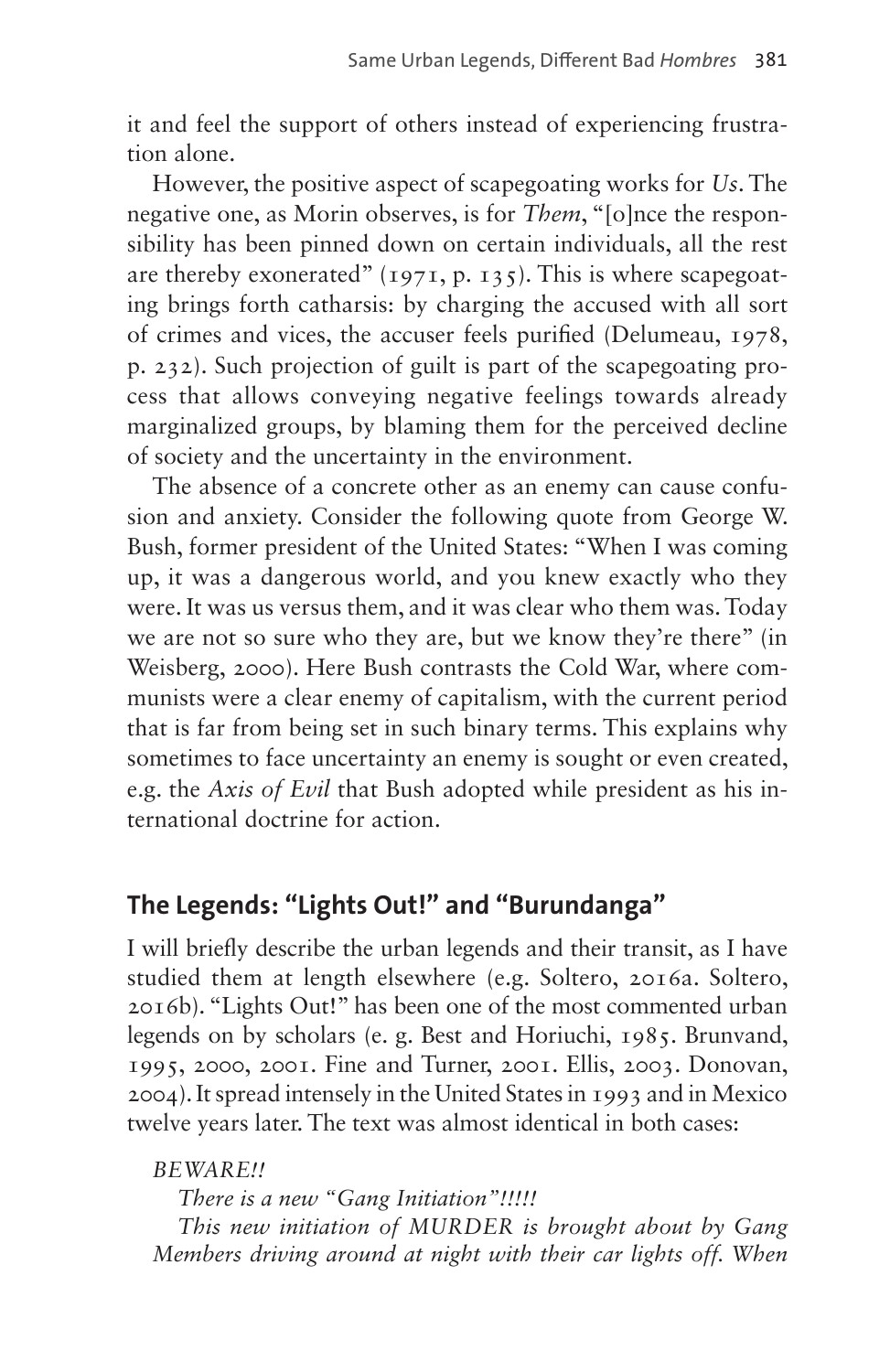it and feel the support of others instead of experiencing frustration alone.

However, the positive aspect of scapegoating works for *Us*. The negative one, as Morin observes, is for *Them*, "[o]nce the responsibility has been pinned down on certain individuals, all the rest are thereby exonerated"  $(1971, p. 135)$ . This is where scapegoating brings forth catharsis: by charging the accused with all sort of crimes and vices, the accuser feels purified (Delumeau, 1978, p. 232). Such projection of guilt is part of the scapegoating process that allows conveying negative feelings towards already marginalized groups, by blaming them for the perceived decline of society and the uncertainty in the environment.

The absence of a concrete other as an enemy can cause confusion and anxiety. Consider the following quote from George W. Bush, former president of the United States: "When I was coming up, it was a dangerous world, and you knew exactly who they were. It was us versus them, and it was clear who them was. Today we are not so sure who they are, but we know they're there" (in Weisberg, 2000). Here Bush contrasts the Cold War, where communists were a clear enemy of capitalism, with the current period that is far from being set in such binary terms. This explains why sometimes to face uncertainty an enemy is sought or even created, e.g. the *Axis of Evil* that Bush adopted while president as his international doctrine for action.

#### **The Legends: "Lights Out!" and "Burundanga"**

I will briefly describe the urban legends and their transit, as I have studied them at length elsewhere (e.g. Soltero, 2016a. Soltero, 2016b). "Lights Out!" has been one of the most commented urban legends on by scholars (e. g. Best and Horiuchi, 1985. Brunvand, 1995, 2000, 2001. Fine and Turner, 2001. Ellis, 2003. Donovan, 2004). It spread intensely in the United States in 1993 and in Mexico twelve years later. The text was almost identical in both cases:

*BEWARE!!*

*There is a new "Gang Initiation"!!!!!*

*This new initiation of MURDER is brought about by Gang Members driving around at night with their car lights off. When*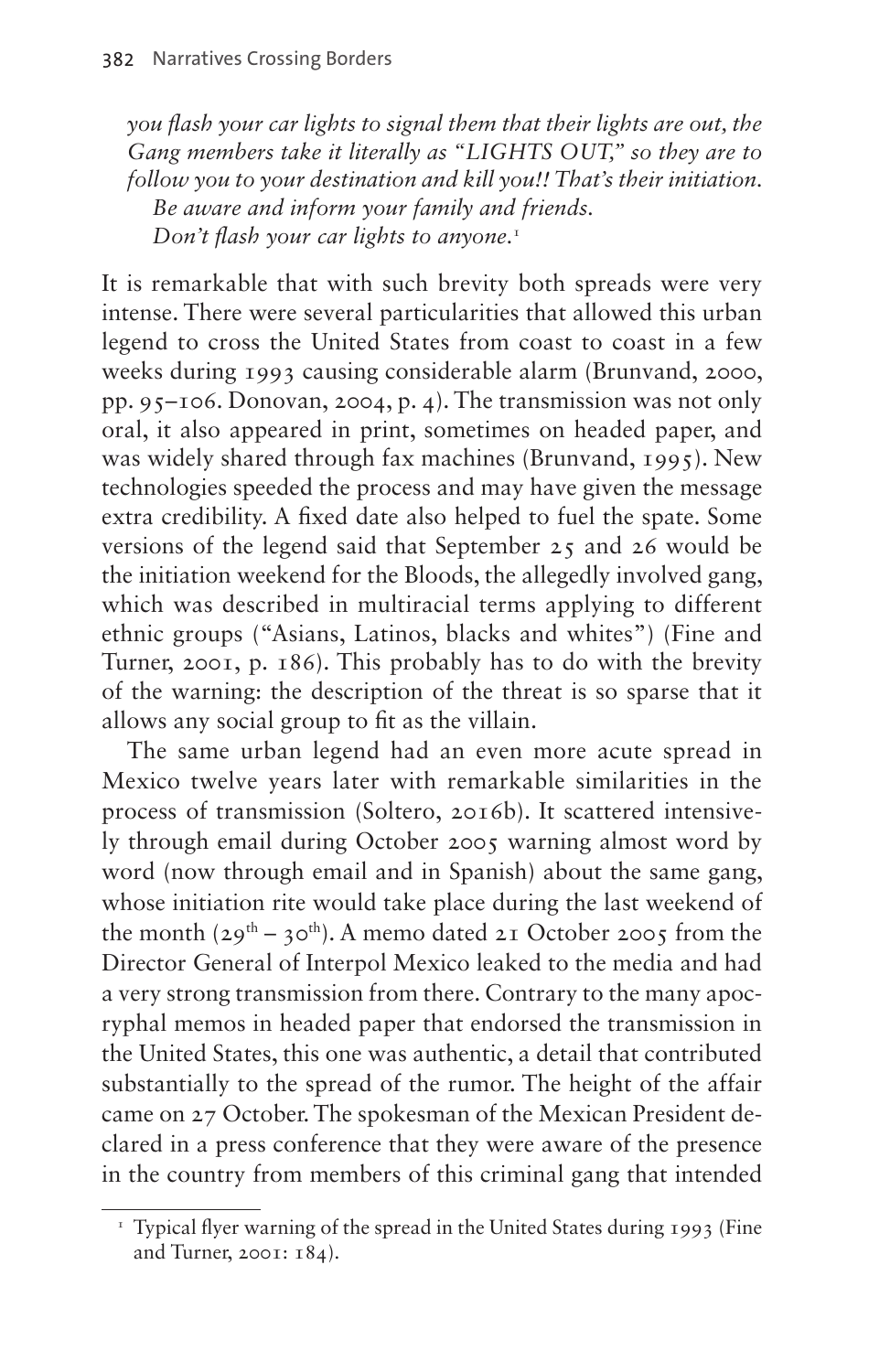*you flash your car lights to signal them that their lights are out, the Gang members take it literally as "LIGHTS OUT," so they are to follow you to your destination and kill you!! That's their initiation. Be aware and inform your family and friends. Don't flash your car lights to anyone.*[1](#page-7-0)

It is remarkable that with such brevity both spreads were very intense. There were several particularities that allowed this urban legend to cross the United States from coast to coast in a few weeks during 1993 causing considerable alarm (Brunvand, 2000, pp. 95–106. Donovan, 2004, p. 4). The transmission was not only oral, it also appeared in print, sometimes on headed paper, and was widely shared through fax machines (Brunvand, 1995). New technologies speeded the process and may have given the message extra credibility. A fixed date also helped to fuel the spate. Some versions of the legend said that September 25 and 26 would be the initiation weekend for the Bloods, the allegedly involved gang, which was described in multiracial terms applying to different ethnic groups ("Asians, Latinos, blacks and whites") (Fine and Turner, 2001, p. 186). This probably has to do with the brevity of the warning: the description of the threat is so sparse that it allows any social group to fit as the villain.

The same urban legend had an even more acute spread in Mexico twelve years later with remarkable similarities in the process of transmission (Soltero, 2016b). It scattered intensively through email during October 2005 warning almost word by word (now through email and in Spanish) about the same gang, whose initiation rite would take place during the last weekend of the month  $(29^{th} - 30^{th})$ . A memo dated  $2I$  October 2005 from the Director General of Interpol Mexico leaked to the media and had a very strong transmission from there. Contrary to the many apocryphal memos in headed paper that endorsed the transmission in the United States, this one was authentic, a detail that contributed substantially to the spread of the rumor. The height of the affair came on 27 October. The spokesman of the Mexican President declared in a press conference that they were aware of the presence in the country from members of this criminal gang that intended

<span id="page-7-0"></span><sup>&</sup>lt;sup>1</sup> Typical flyer warning of the spread in the United States during 1993 (Fine and Turner, 2001: 184).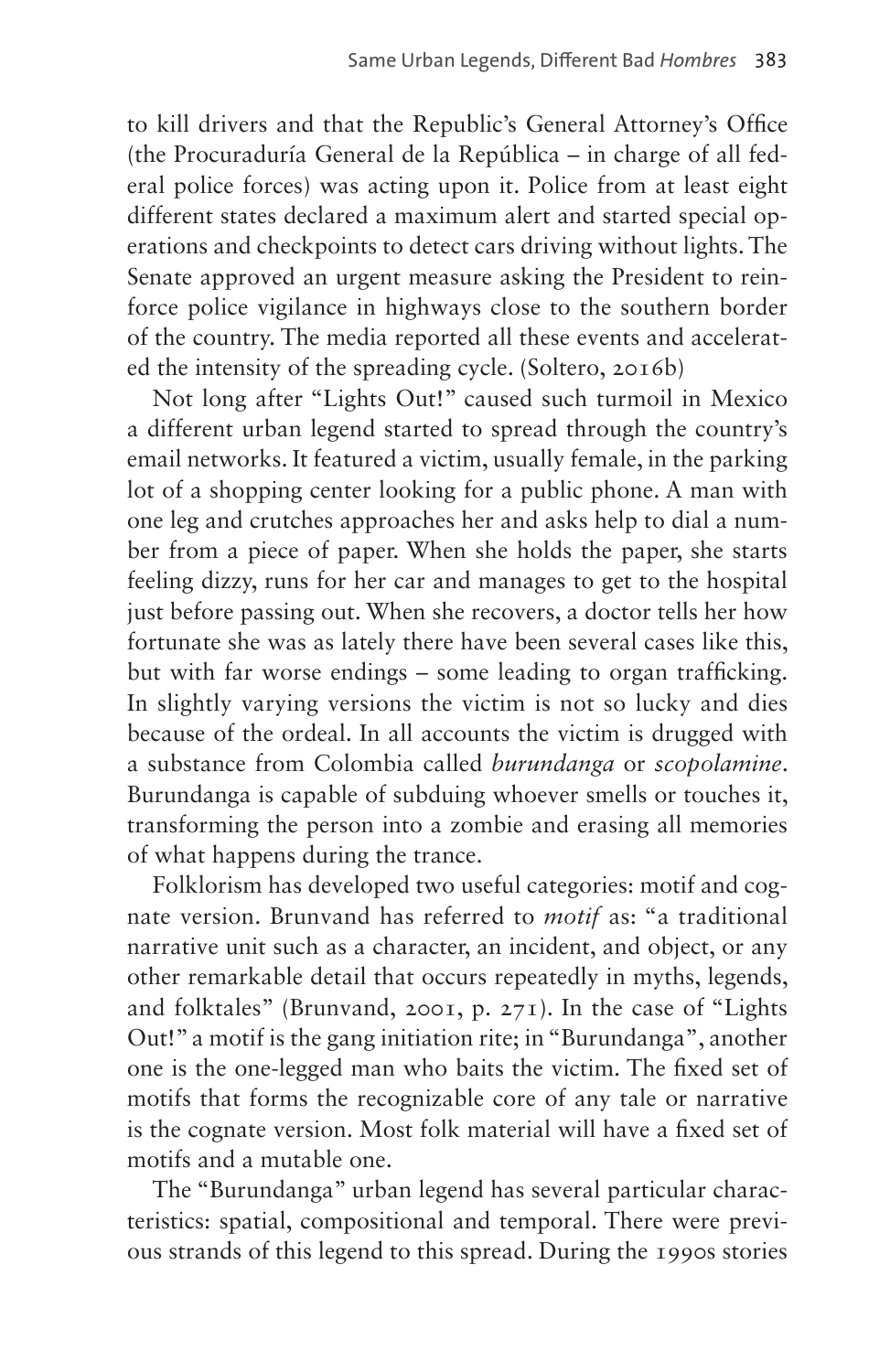to kill drivers and that the Republic's General Attorney's Office (the Procuraduría General de la República – in charge of all federal police forces) was acting upon it. Police from at least eight different states declared a maximum alert and started special operations and checkpoints to detect cars driving without lights. The Senate approved an urgent measure asking the President to reinforce police vigilance in highways close to the southern border of the country. The media reported all these events and accelerated the intensity of the spreading cycle. (Soltero, 2016b)

Not long after "Lights Out!" caused such turmoil in Mexico a different urban legend started to spread through the country's email networks. It featured a victim, usually female, in the parking lot of a shopping center looking for a public phone. A man with one leg and crutches approaches her and asks help to dial a number from a piece of paper. When she holds the paper, she starts feeling dizzy, runs for her car and manages to get to the hospital just before passing out. When she recovers, a doctor tells her how fortunate she was as lately there have been several cases like this, but with far worse endings – some leading to organ trafficking. In slightly varying versions the victim is not so lucky and dies because of the ordeal. In all accounts the victim is drugged with a substance from Colombia called *burundanga* or *scopolamine*. Burundanga is capable of subduing whoever smells or touches it, transforming the person into a zombie and erasing all memories of what happens during the trance.

Folklorism has developed two useful categories: motif and cognate version. Brunvand has referred to *motif* as: "a traditional narrative unit such as a character, an incident, and object, or any other remarkable detail that occurs repeatedly in myths, legends, and folktales" (Brunvand, 2001, p. 271). In the case of "Lights Out!" a motif is the gang initiation rite; in "Burundanga", another one is the one-legged man who baits the victim. The fixed set of motifs that forms the recognizable core of any tale or narrative is the cognate version. Most folk material will have a fixed set of motifs and a mutable one.

The "Burundanga" urban legend has several particular characteristics: spatial, compositional and temporal. There were previous strands of this legend to this spread. During the 1990s stories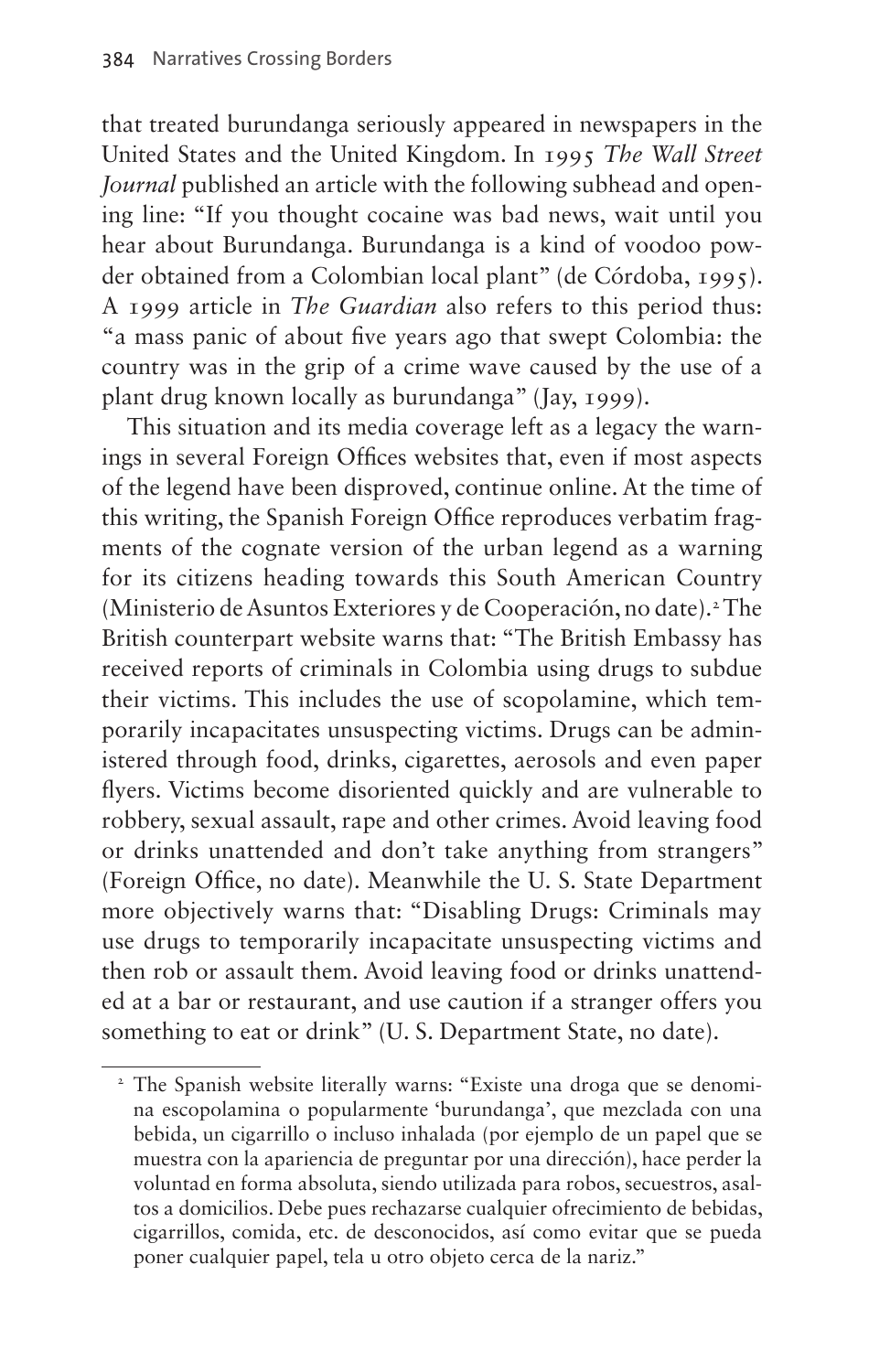that treated burundanga seriously appeared in newspapers in the United States and the United Kingdom. In 1995 *The Wall Street Journal* published an article with the following subhead and opening line: "If you thought cocaine was bad news, wait until you hear about Burundanga. Burundanga is a kind of voodoo powder obtained from a Colombian local plant" (de Córdoba, 1995). A 1999 article in *The Guardian* also refers to this period thus: "a mass panic of about five years ago that swept Colombia: the country was in the grip of a crime wave caused by the use of a plant drug known locally as burundanga" (Jay, 1999).

This situation and its media coverage left as a legacy the warnings in several Foreign Offices websites that, even if most aspects of the legend have been disproved, continue online. At the time of this writing, the Spanish Foreign Office reproduces verbatim fragments of the cognate version of the urban legend as a warning for its citizens heading towards this South American Country (Ministerio de Asuntos Exteriores y de Cooperación, no date).<sup>[2](#page-9-0)</sup> The British counterpart website warns that: "The British Embassy has received reports of criminals in Colombia using drugs to subdue their victims. This includes the use of scopolamine, which temporarily incapacitates unsuspecting victims. Drugs can be administered through food, drinks, cigarettes, aerosols and even paper flyers. Victims become disoriented quickly and are vulnerable to robbery, sexual assault, rape and other crimes. Avoid leaving food or drinks unattended and don't take anything from strangers" (Foreign Office, no date). Meanwhile the U. S. State Department more objectively warns that: "Disabling Drugs: Criminals may use drugs to temporarily incapacitate unsuspecting victims and then rob or assault them. Avoid leaving food or drinks unattended at a bar or restaurant, and use caution if a stranger offers you something to eat or drink" (U. S. Department State, no date).

<span id="page-9-0"></span><sup>2</sup> The Spanish website literally warns: "Existe una droga que se denomina escopolamina o popularmente 'burundanga', que mezclada con una bebida, un cigarrillo o incluso inhalada (por ejemplo de un papel que se muestra con la apariencia de preguntar por una dirección), hace perder la voluntad en forma absoluta, siendo utilizada para robos, secuestros, asaltos a domicilios. Debe pues rechazarse cualquier ofrecimiento de bebidas, cigarrillos, comida, etc. de desconocidos, así como evitar que se pueda poner cualquier papel, tela u otro objeto cerca de la nariz."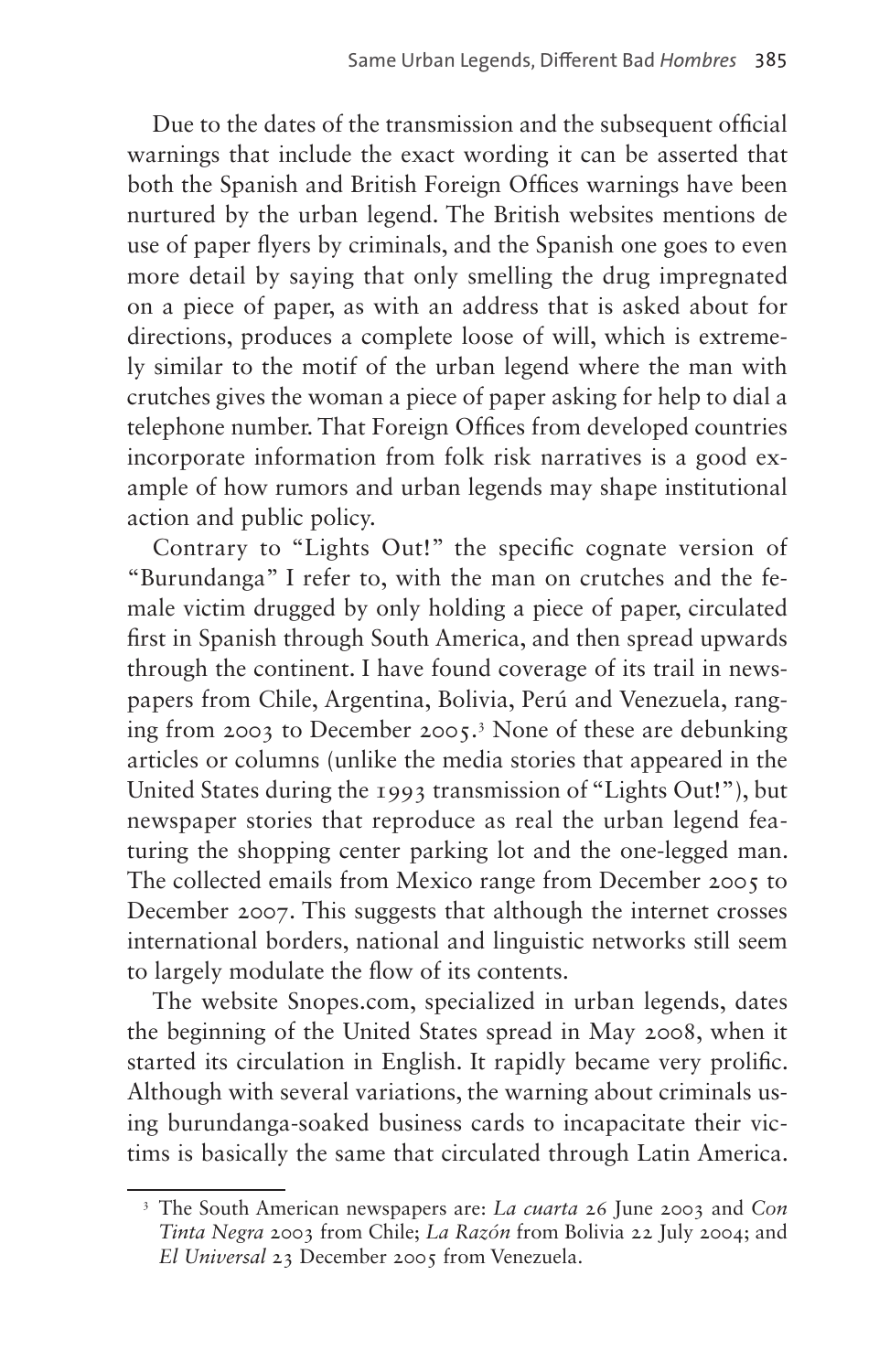Due to the dates of the transmission and the subsequent official warnings that include the exact wording it can be asserted that both the Spanish and British Foreign Offices warnings have been nurtured by the urban legend. The British websites mentions de use of paper flyers by criminals, and the Spanish one goes to even more detail by saying that only smelling the drug impregnated on a piece of paper, as with an address that is asked about for directions, produces a complete loose of will, which is extremely similar to the motif of the urban legend where the man with crutches gives the woman a piece of paper asking for help to dial a telephone number. That Foreign Offices from developed countries incorporate information from folk risk narratives is a good example of how rumors and urban legends may shape institutional action and public policy.

Contrary to "Lights Out!" the specific cognate version of "Burundanga" I refer to, with the man on crutches and the female victim drugged by only holding a piece of paper, circulated first in Spanish through South America, and then spread upwards through the continent. I have found coverage of its trail in newspapers from Chile, Argentina, Bolivia, Perú and Venezuela, ranging from 2003 to December 2005[.3](#page-10-0) None of these are debunking articles or columns (unlike the media stories that appeared in the United States during the 1993 transmission of "Lights Out!"), but newspaper stories that reproduce as real the urban legend featuring the shopping center parking lot and the one-legged man. The collected emails from Mexico range from December 2005 to December 2007. This suggests that although the internet crosses international borders, national and linguistic networks still seem to largely modulate the flow of its contents.

The website [Snopes.com,](http://Snopes.com) specialized in urban legends, dates the beginning of the United States spread in May 2008, when it started its circulation in English. It rapidly became very prolific. Although with several variations, the warning about criminals using burundanga-soaked business cards to incapacitate their victims is basically the same that circulated through Latin America.

<span id="page-10-0"></span><sup>3</sup> The South American newspapers are: *La cuarta* 26 June 2003 and *Con Tinta Negra* 2003 from Chile; *La Razón* from Bolivia 22 July 2004; and *El Universal* 23 December 2005 from Venezuela.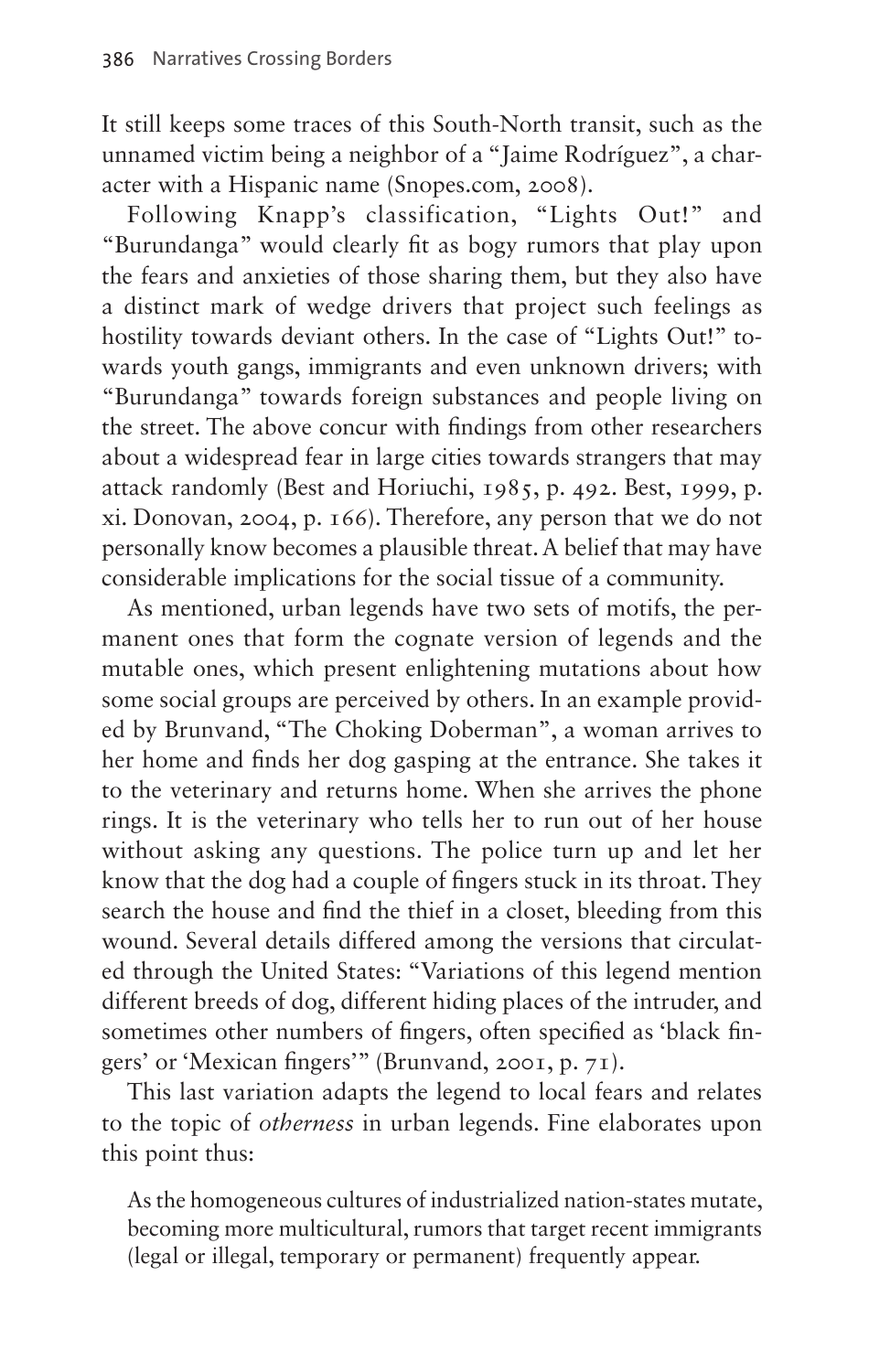It still keeps some traces of this South-North transit, such as the unnamed victim being a neighbor of a "Jaime Rodríguez", a character with a Hispanic name [\(Snopes.com,](http://Snopes.com) 2008).

Following Knapp's classification, "Lights Out!" and "Burundanga" would clearly fit as bogy rumors that play upon the fears and anxieties of those sharing them, but they also have a distinct mark of wedge drivers that project such feelings as hostility towards deviant others. In the case of "Lights Out!" towards youth gangs, immigrants and even unknown drivers; with "Burundanga" towards foreign substances and people living on the street. The above concur with findings from other researchers about a widespread fear in large cities towards strangers that may attack randomly (Best and Horiuchi, 1985, p. 492. Best, 1999, p. xi. Donovan, 2004, p. 166). Therefore, any person that we do not personally know becomes a plausible threat. A belief that may have considerable implications for the social tissue of a community.

As mentioned, urban legends have two sets of motifs, the permanent ones that form the cognate version of legends and the mutable ones, which present enlightening mutations about how some social groups are perceived by others. In an example provided by Brunvand, "The Choking Doberman", a woman arrives to her home and finds her dog gasping at the entrance. She takes it to the veterinary and returns home. When she arrives the phone rings. It is the veterinary who tells her to run out of her house without asking any questions. The police turn up and let her know that the dog had a couple of fingers stuck in its throat. They search the house and find the thief in a closet, bleeding from this wound. Several details differed among the versions that circulated through the United States: "Variations of this legend mention different breeds of dog, different hiding places of the intruder, and sometimes other numbers of fingers, often specified as 'black fingers' or 'Mexican fingers'" (Brunvand, 2001, p. 71).

This last variation adapts the legend to local fears and relates to the topic of *otherness* in urban legends. Fine elaborates upon this point thus:

As the homogeneous cultures of industrialized nation-states mutate, becoming more multicultural, rumors that target recent immigrants (legal or illegal, temporary or permanent) frequently appear.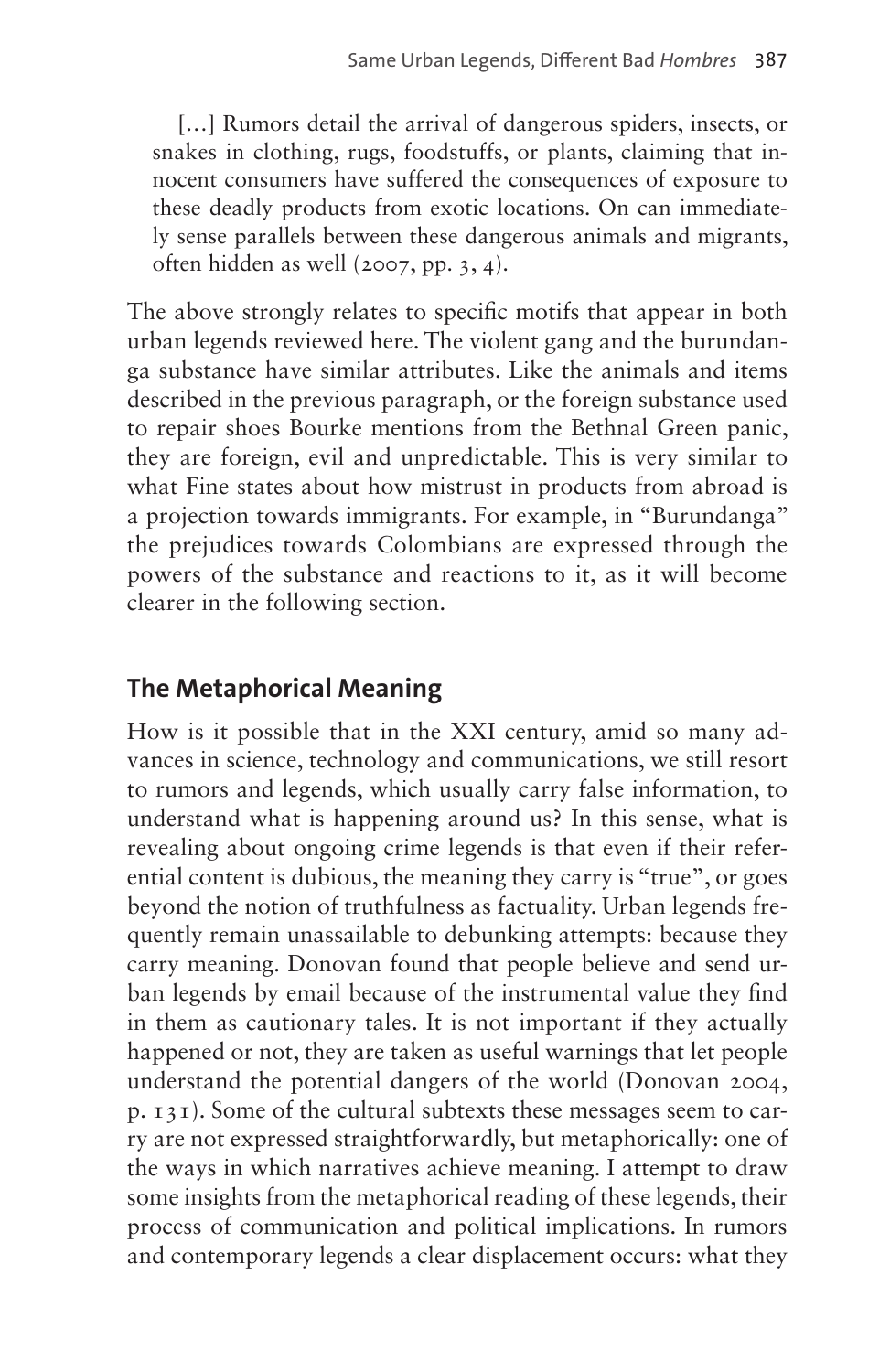[...] Rumors detail the arrival of dangerous spiders, insects, or snakes in clothing, rugs, foodstuffs, or plants, claiming that innocent consumers have suffered the consequences of exposure to these deadly products from exotic locations. On can immediately sense parallels between these dangerous animals and migrants, often hidden as well (2007, pp. 3, 4).

The above strongly relates to specific motifs that appear in both urban legends reviewed here. The violent gang and the burundanga substance have similar attributes. Like the animals and items described in the previous paragraph, or the foreign substance used to repair shoes Bourke mentions from the Bethnal Green panic, they are foreign, evil and unpredictable. This is very similar to what Fine states about how mistrust in products from abroad is a projection towards immigrants. For example, in "Burundanga" the prejudices towards Colombians are expressed through the powers of the substance and reactions to it, as it will become clearer in the following section.

# **The Metaphorical Meaning**

How is it possible that in the XXI century, amid so many advances in science, technology and communications, we still resort to rumors and legends, which usually carry false information, to understand what is happening around us? In this sense, what is revealing about ongoing crime legends is that even if their referential content is dubious, the meaning they carry is "true", or goes beyond the notion of truthfulness as factuality. Urban legends frequently remain unassailable to debunking attempts: because they carry meaning. Donovan found that people believe and send urban legends by email because of the instrumental value they find in them as cautionary tales. It is not important if they actually happened or not, they are taken as useful warnings that let people understand the potential dangers of the world (Donovan 2004, p. 131). Some of the cultural subtexts these messages seem to carry are not expressed straightforwardly, but metaphorically: one of the ways in which narratives achieve meaning. I attempt to draw some insights from the metaphorical reading of these legends, their process of communication and political implications. In rumors and contemporary legends a clear displacement occurs: what they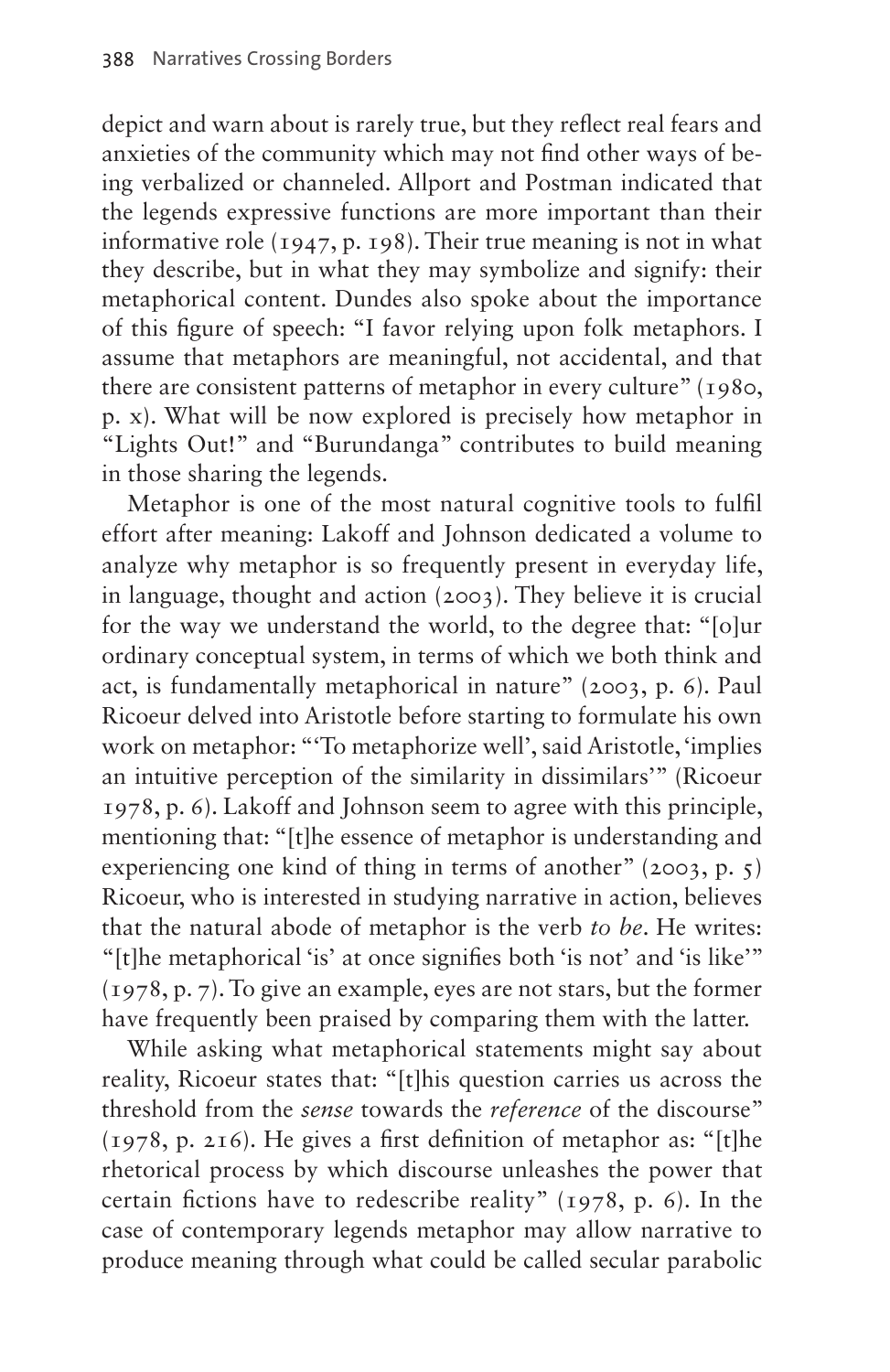depict and warn about is rarely true, but they reflect real fears and anxieties of the community which may not find other ways of being verbalized or channeled. Allport and Postman indicated that the legends expressive functions are more important than their informative role (1947, p. 198). Their true meaning is not in what they describe, but in what they may symbolize and signify: their metaphorical content. Dundes also spoke about the importance of this figure of speech: "I favor relying upon folk metaphors. I assume that metaphors are meaningful, not accidental, and that there are consistent patterns of metaphor in every culture" (1980, p. x). What will be now explored is precisely how metaphor in "Lights Out!" and "Burundanga" contributes to build meaning in those sharing the legends.

Metaphor is one of the most natural cognitive tools to fulfil effort after meaning: Lakoff and Johnson dedicated a volume to analyze why metaphor is so frequently present in everyday life, in language, thought and action (2003). They believe it is crucial for the way we understand the world, to the degree that: "[o]ur ordinary conceptual system, in terms of which we both think and act, is fundamentally metaphorical in nature" (2003, p. 6). Paul Ricoeur delved into Aristotle before starting to formulate his own work on metaphor: "'To metaphorize well', said Aristotle, 'implies an intuitive perception of the similarity in dissimilars'" (Ricoeur 1978, p. 6). Lakoff and Johnson seem to agree with this principle, mentioning that: "[t]he essence of metaphor is understanding and experiencing one kind of thing in terms of another"  $(2003, p. 5)$ Ricoeur, who is interested in studying narrative in action, believes that the natural abode of metaphor is the verb *to be*. He writes: "[t]he metaphorical 'is' at once signifies both 'is not' and 'is like'" (1978, p. 7). To give an example, eyes are not stars, but the former have frequently been praised by comparing them with the latter.

While asking what metaphorical statements might say about reality, Ricoeur states that: "[t]his question carries us across the threshold from the *sense* towards the *reference* of the discourse" (1978, p. 216). He gives a first definition of metaphor as: "[t]he rhetorical process by which discourse unleashes the power that certain fictions have to redescribe reality" (1978, p. 6). In the case of contemporary legends metaphor may allow narrative to produce meaning through what could be called secular parabolic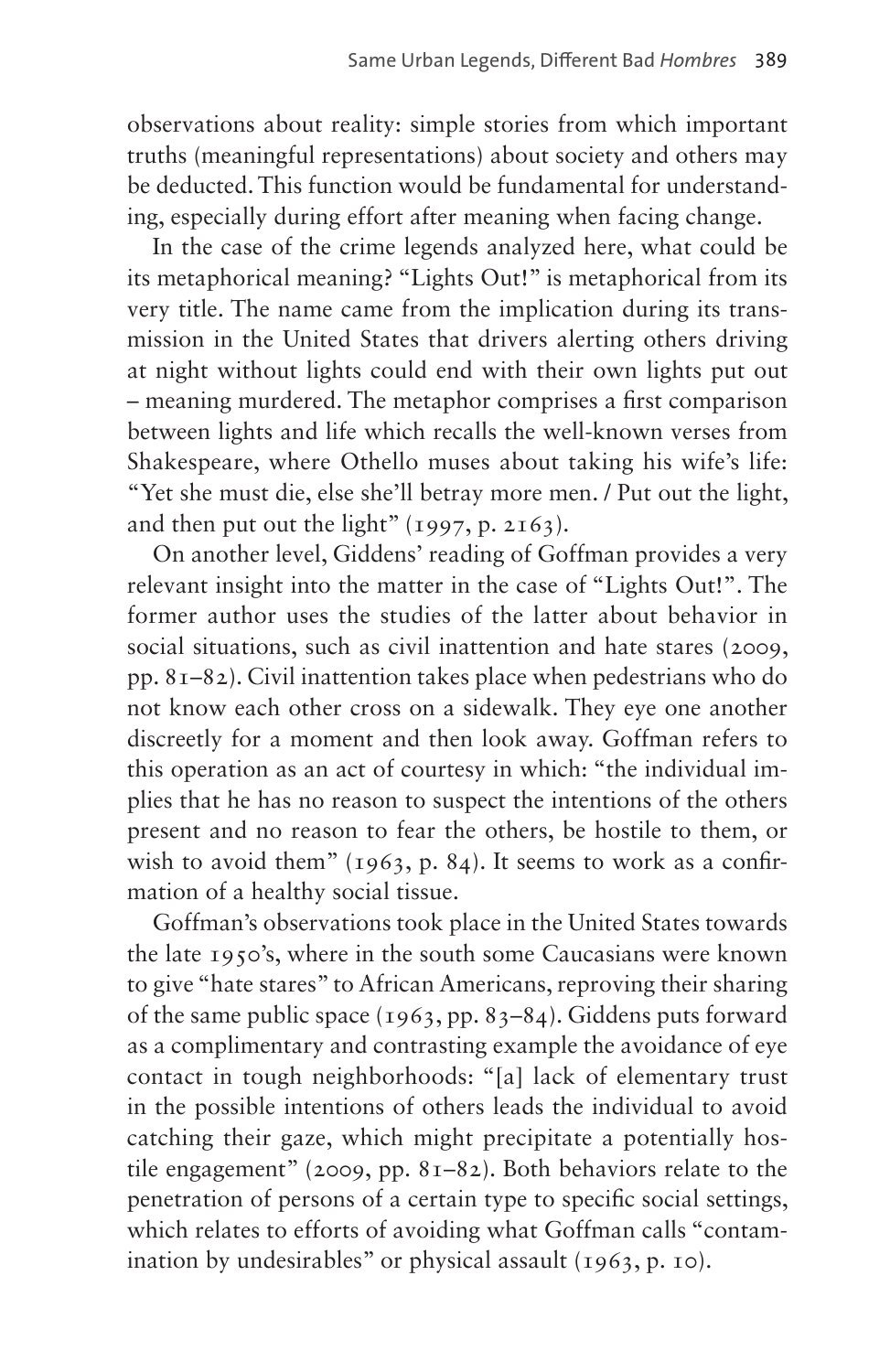observations about reality: simple stories from which important truths (meaningful representations) about society and others may be deducted. This function would be fundamental for understanding, especially during effort after meaning when facing change.

In the case of the crime legends analyzed here, what could be its metaphorical meaning? "Lights Out!" is metaphorical from its very title. The name came from the implication during its transmission in the United States that drivers alerting others driving at night without lights could end with their own lights put out – meaning murdered. The metaphor comprises a first comparison between lights and life which recalls the well-known verses from Shakespeare, where Othello muses about taking his wife's life: "Yet she must die, else she'll betray more men. / Put out the light, and then put out the light"  $(1997, p. 2163)$ .

On another level, Giddens' reading of Goffman provides a very relevant insight into the matter in the case of "Lights Out!". The former author uses the studies of the latter about behavior in social situations, such as civil inattention and hate stares (2009, pp. 81–82). Civil inattention takes place when pedestrians who do not know each other cross on a sidewalk. They eye one another discreetly for a moment and then look away. Goffman refers to this operation as an act of courtesy in which: "the individual implies that he has no reason to suspect the intentions of the others present and no reason to fear the others, be hostile to them, or wish to avoid them" (1963, p. 84). It seems to work as a confirmation of a healthy social tissue.

Goffman's observations took place in the United States towards the late 1950's, where in the south some Caucasians were known to give "hate stares" to African Americans, reproving their sharing of the same public space (1963, pp. 83–84). Giddens puts forward as a complimentary and contrasting example the avoidance of eye contact in tough neighborhoods: "[a] lack of elementary trust in the possible intentions of others leads the individual to avoid catching their gaze, which might precipitate a potentially hostile engagement" (2009, pp. 81–82). Both behaviors relate to the penetration of persons of a certain type to specific social settings, which relates to efforts of avoiding what Goffman calls "contamination by undesirables" or physical assault (1963, p. 10).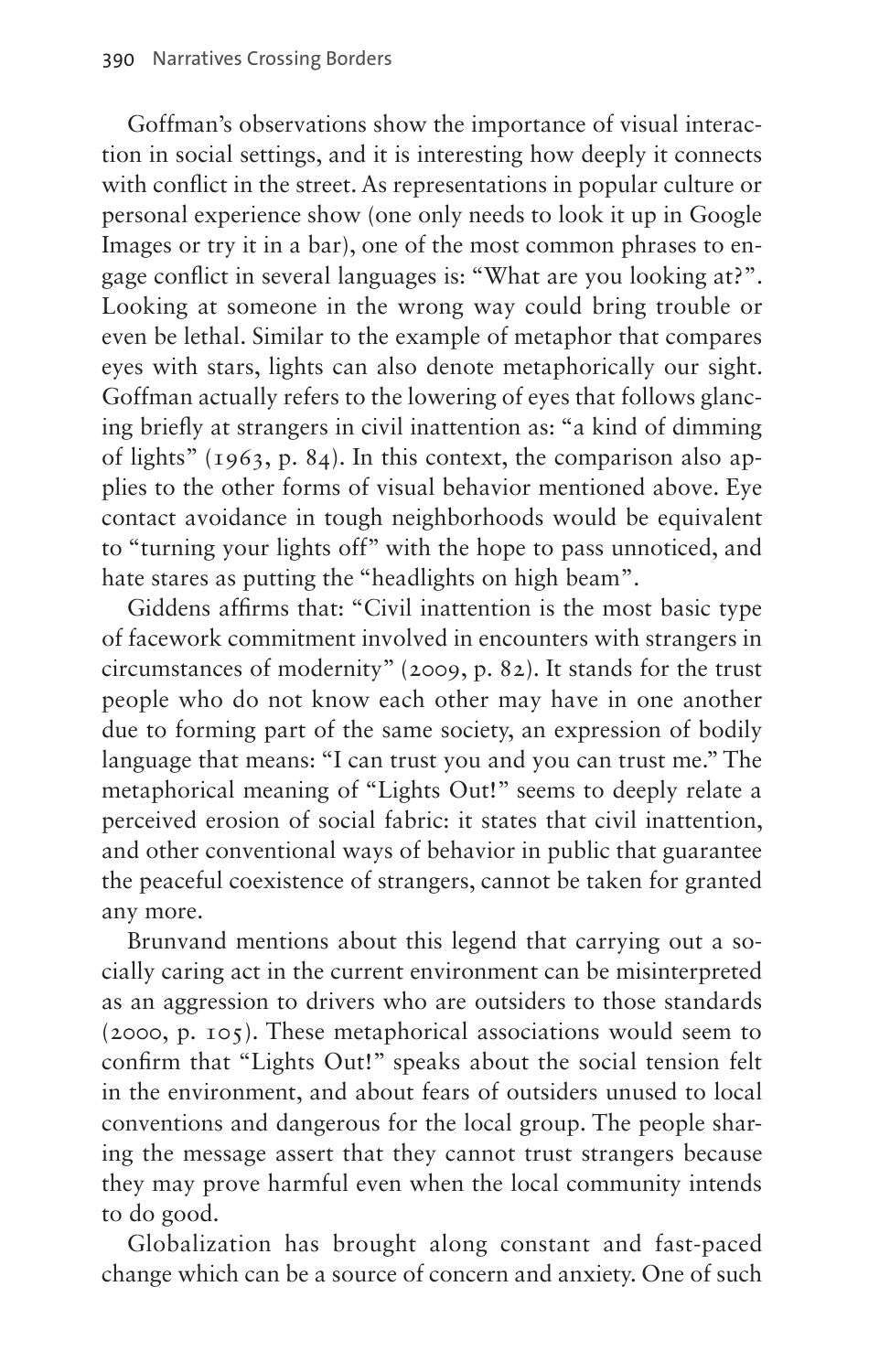Goffman's observations show the importance of visual interaction in social settings, and it is interesting how deeply it connects with conflict in the street. As representations in popular culture or personal experience show (one only needs to look it up in Google Images or try it in a bar), one of the most common phrases to engage conflict in several languages is: "What are you looking at?". Looking at someone in the wrong way could bring trouble or even be lethal. Similar to the example of metaphor that compares eyes with stars, lights can also denote metaphorically our sight. Goffman actually refers to the lowering of eyes that follows glancing briefly at strangers in civil inattention as: "a kind of dimming of lights" (1963, p. 84). In this context, the comparison also applies to the other forms of visual behavior mentioned above. Eye contact avoidance in tough neighborhoods would be equivalent to "turning your lights off" with the hope to pass unnoticed, and hate stares as putting the "headlights on high beam".

Giddens affirms that: "Civil inattention is the most basic type of facework commitment involved in encounters with strangers in circumstances of modernity" (2009, p. 82). It stands for the trust people who do not know each other may have in one another due to forming part of the same society, an expression of bodily language that means: "I can trust you and you can trust me." The metaphorical meaning of "Lights Out!" seems to deeply relate a perceived erosion of social fabric: it states that civil inattention, and other conventional ways of behavior in public that guarantee the peaceful coexistence of strangers, cannot be taken for granted any more.

Brunvand mentions about this legend that carrying out a socially caring act in the current environment can be misinterpreted as an aggression to drivers who are outsiders to those standards (2000, p. 105). These metaphorical associations would seem to confirm that "Lights Out!" speaks about the social tension felt in the environment, and about fears of outsiders unused to local conventions and dangerous for the local group. The people sharing the message assert that they cannot trust strangers because they may prove harmful even when the local community intends to do good.

Globalization has brought along constant and fast-paced change which can be a source of concern and anxiety. One of such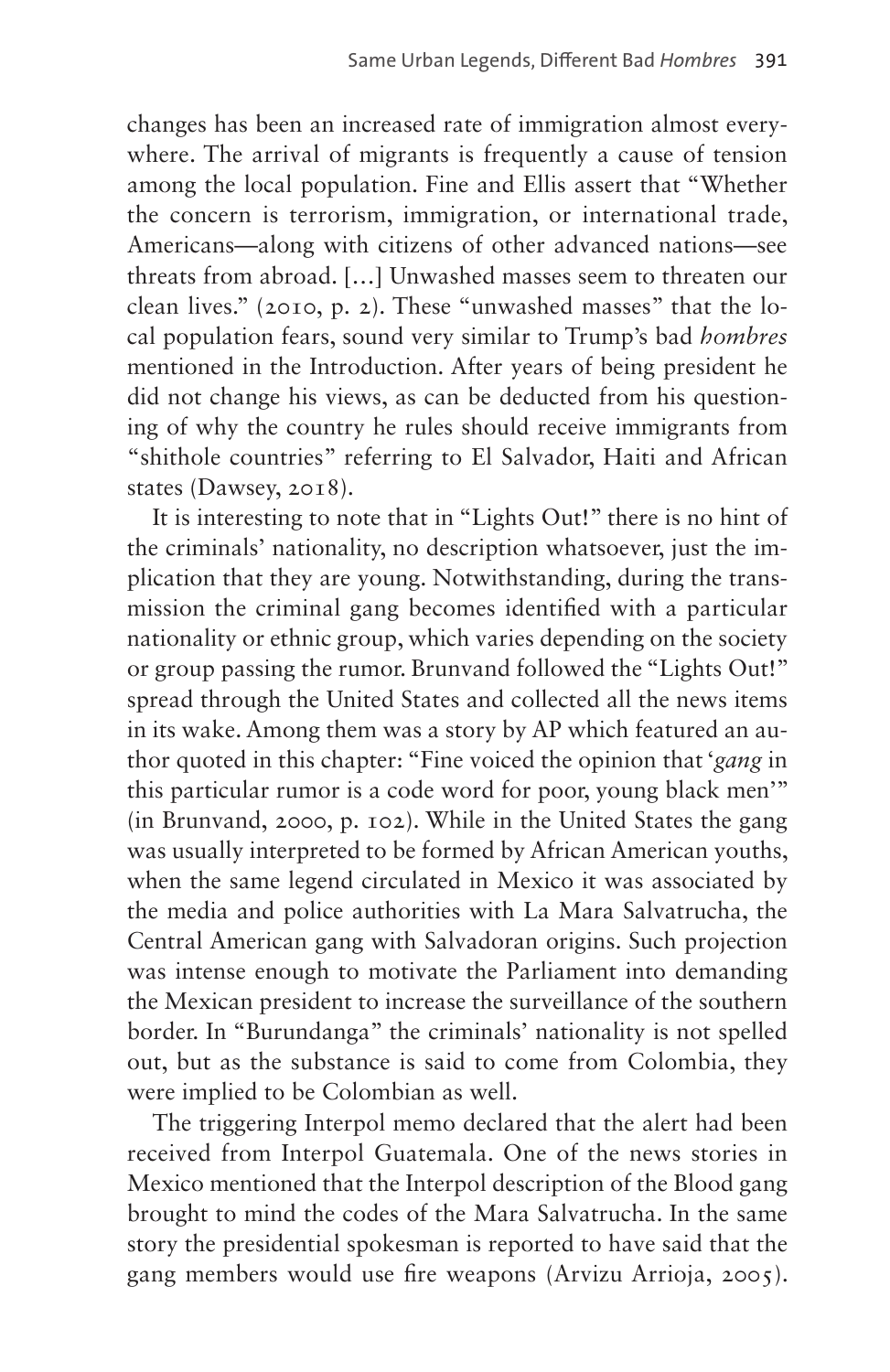changes has been an increased rate of immigration almost everywhere. The arrival of migrants is frequently a cause of tension among the local population. Fine and Ellis assert that "Whether the concern is terrorism, immigration, or international trade, Americans—along with citizens of other advanced nations—see threats from abroad. […] Unwashed masses seem to threaten our clean lives." (2010, p. 2). These "unwashed masses" that the local population fears, sound very similar to Trump's bad *hombres* mentioned in the Introduction. After years of being president he did not change his views, as can be deducted from his questioning of why the country he rules should receive immigrants from "shithole countries" referring to El Salvador, Haiti and African states (Dawsey, 2018).

It is interesting to note that in "Lights Out!" there is no hint of the criminals' nationality, no description whatsoever, just the implication that they are young. Notwithstanding, during the transmission the criminal gang becomes identified with a particular nationality or ethnic group, which varies depending on the society or group passing the rumor. Brunvand followed the "Lights Out!" spread through the United States and collected all the news items in its wake. Among them was a story by AP which featured an author quoted in this chapter: "Fine voiced the opinion that '*gang* in this particular rumor is a code word for poor, young black men'" (in Brunvand, 2000, p. 102). While in the United States the gang was usually interpreted to be formed by African American youths, when the same legend circulated in Mexico it was associated by the media and police authorities with La Mara Salvatrucha, the Central American gang with Salvadoran origins. Such projection was intense enough to motivate the Parliament into demanding the Mexican president to increase the surveillance of the southern border. In "Burundanga" the criminals' nationality is not spelled out, but as the substance is said to come from Colombia, they were implied to be Colombian as well.

The triggering Interpol memo declared that the alert had been received from Interpol Guatemala. One of the news stories in Mexico mentioned that the Interpol description of the Blood gang brought to mind the codes of the Mara Salvatrucha. In the same story the presidential spokesman is reported to have said that the gang members would use fire weapons (Arvizu Arrioja, 2005).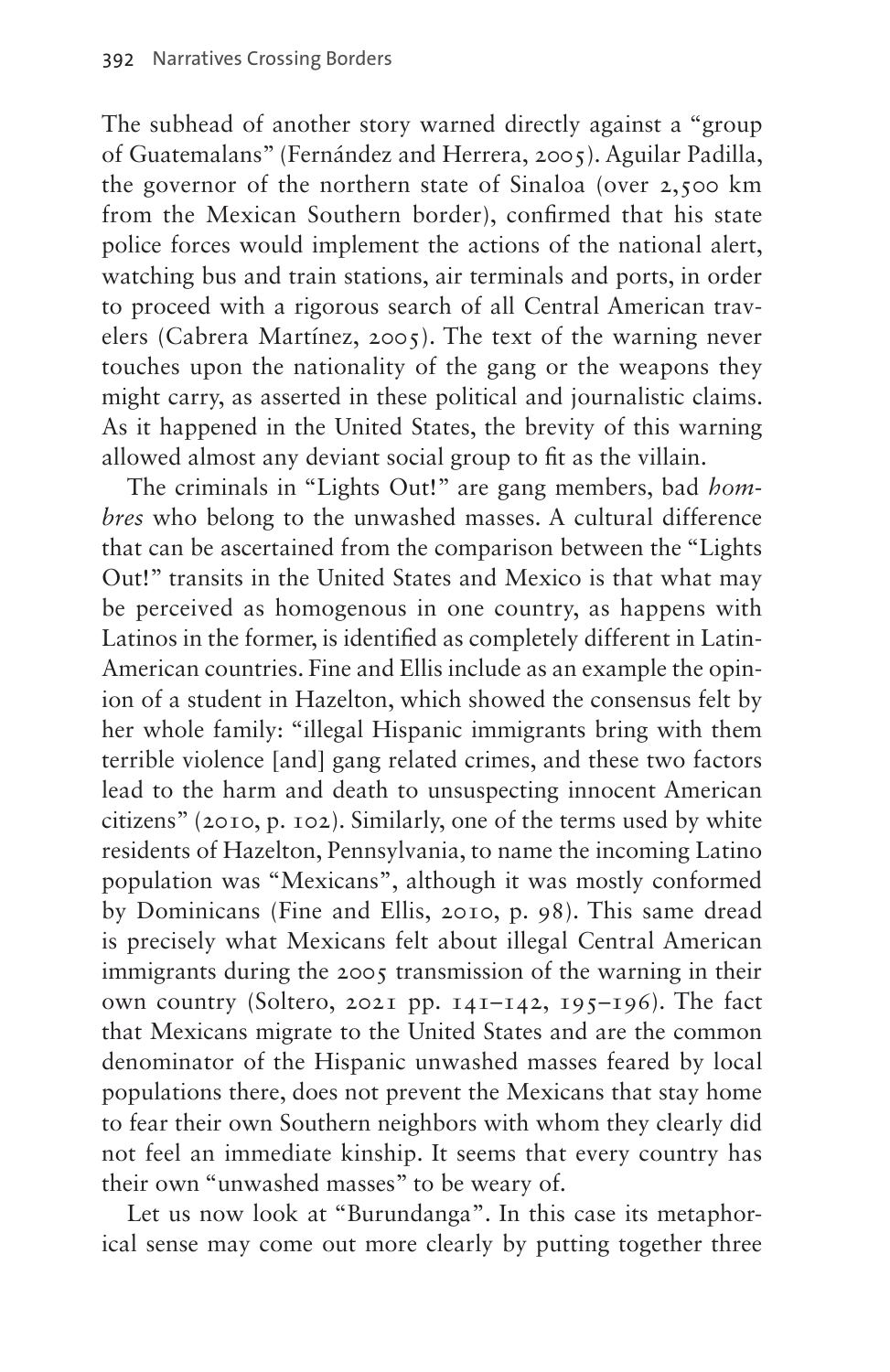The subhead of another story warned directly against a "group of Guatemalans" (Fernández and Herrera, 2005). Aguilar Padilla, the governor of the northern state of Sinaloa (over 2,500 km from the Mexican Southern border), confirmed that his state police forces would implement the actions of the national alert, watching bus and train stations, air terminals and ports, in order to proceed with a rigorous search of all Central American travelers (Cabrera Martínez, 2005). The text of the warning never touches upon the nationality of the gang or the weapons they might carry, as asserted in these political and journalistic claims. As it happened in the United States, the brevity of this warning allowed almost any deviant social group to fit as the villain.

The criminals in "Lights Out!" are gang members, bad *hombres* who belong to the unwashed masses. A cultural difference that can be ascertained from the comparison between the "Lights Out!" transits in the United States and Mexico is that what may be perceived as homogenous in one country, as happens with Latinos in the former, is identified as completely different in Latin-American countries. Fine and Ellis include as an example the opinion of a student in Hazelton, which showed the consensus felt by her whole family: "illegal Hispanic immigrants bring with them terrible violence [and] gang related crimes, and these two factors lead to the harm and death to unsuspecting innocent American citizens" (2010, p. 102). Similarly, one of the terms used by white residents of Hazelton, Pennsylvania, to name the incoming Latino population was "Mexicans", although it was mostly conformed by Dominicans (Fine and Ellis, 2010, p. 98). This same dread is precisely what Mexicans felt about illegal Central American immigrants during the 2005 transmission of the warning in their own country (Soltero, 2021 pp.  $141-142$ , 195-196). The fact that Mexicans migrate to the United States and are the common denominator of the Hispanic unwashed masses feared by local populations there, does not prevent the Mexicans that stay home to fear their own Southern neighbors with whom they clearly did not feel an immediate kinship. It seems that every country has their own "unwashed masses" to be weary of.

Let us now look at "Burundanga". In this case its metaphorical sense may come out more clearly by putting together three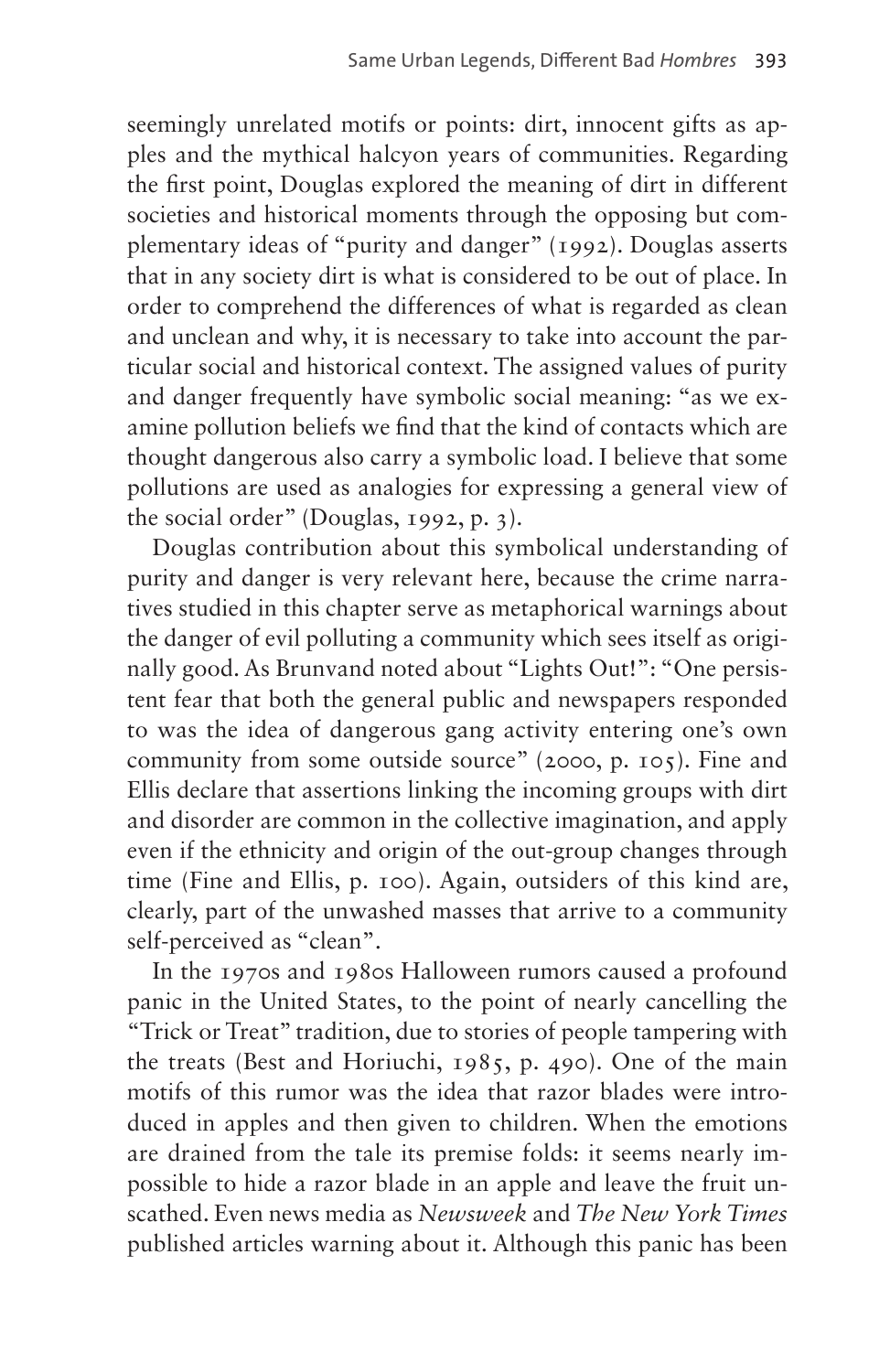seemingly unrelated motifs or points: dirt, innocent gifts as apples and the mythical halcyon years of communities. Regarding the first point, Douglas explored the meaning of dirt in different societies and historical moments through the opposing but complementary ideas of "purity and danger" (1992). Douglas asserts that in any society dirt is what is considered to be out of place. In order to comprehend the differences of what is regarded as clean and unclean and why, it is necessary to take into account the particular social and historical context. The assigned values of purity and danger frequently have symbolic social meaning: "as we examine pollution beliefs we find that the kind of contacts which are thought dangerous also carry a symbolic load. I believe that some pollutions are used as analogies for expressing a general view of the social order" (Douglas, 1992, p. 3).

Douglas contribution about this symbolical understanding of purity and danger is very relevant here, because the crime narratives studied in this chapter serve as metaphorical warnings about the danger of evil polluting a community which sees itself as originally good. As Brunvand noted about "Lights Out!": "One persistent fear that both the general public and newspapers responded to was the idea of dangerous gang activity entering one's own community from some outside source" (2000, p. 105). Fine and Ellis declare that assertions linking the incoming groups with dirt and disorder are common in the collective imagination, and apply even if the ethnicity and origin of the out-group changes through time (Fine and Ellis, p. 100). Again, outsiders of this kind are, clearly, part of the unwashed masses that arrive to a community self-perceived as "clean".

In the 1970s and 1980s Halloween rumors caused a profound panic in the United States, to the point of nearly cancelling the "Trick or Treat" tradition, due to stories of people tampering with the treats (Best and Horiuchi, 1985, p. 490). One of the main motifs of this rumor was the idea that razor blades were introduced in apples and then given to children. When the emotions are drained from the tale its premise folds: it seems nearly impossible to hide a razor blade in an apple and leave the fruit unscathed. Even news media as *Newsweek* and *The New York Times* published articles warning about it. Although this panic has been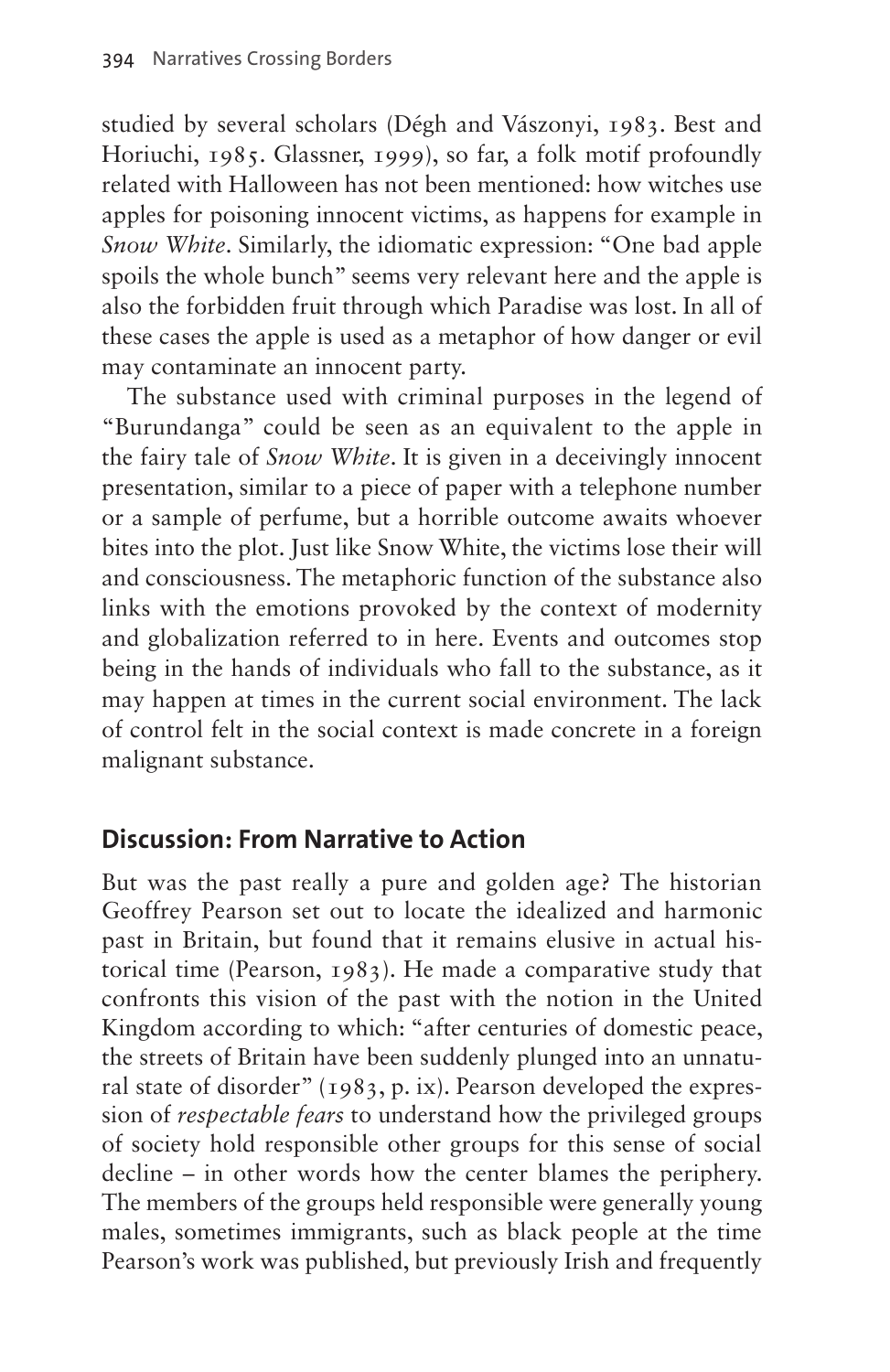studied by several scholars (Dégh and Vászonyi, 1983. Best and Horiuchi, 1985. Glassner, 1999), so far, a folk motif profoundly related with Halloween has not been mentioned: how witches use apples for poisoning innocent victims, as happens for example in *Snow White*. Similarly, the idiomatic expression: "One bad apple spoils the whole bunch" seems very relevant here and the apple is also the forbidden fruit through which Paradise was lost. In all of these cases the apple is used as a metaphor of how danger or evil may contaminate an innocent party.

The substance used with criminal purposes in the legend of "Burundanga" could be seen as an equivalent to the apple in the fairy tale of *Snow White*. It is given in a deceivingly innocent presentation, similar to a piece of paper with a telephone number or a sample of perfume, but a horrible outcome awaits whoever bites into the plot. Just like Snow White, the victims lose their will and consciousness. The metaphoric function of the substance also links with the emotions provoked by the context of modernity and globalization referred to in here. Events and outcomes stop being in the hands of individuals who fall to the substance, as it may happen at times in the current social environment. The lack of control felt in the social context is made concrete in a foreign malignant substance.

#### **Discussion: From Narrative to Action**

But was the past really a pure and golden age? The historian Geoffrey Pearson set out to locate the idealized and harmonic past in Britain, but found that it remains elusive in actual historical time (Pearson, 1983). He made a comparative study that confronts this vision of the past with the notion in the United Kingdom according to which: "after centuries of domestic peace, the streets of Britain have been suddenly plunged into an unnatural state of disorder" (1983, p. ix). Pearson developed the expression of *respectable fears* to understand how the privileged groups of society hold responsible other groups for this sense of social decline – in other words how the center blames the periphery. The members of the groups held responsible were generally young males, sometimes immigrants, such as black people at the time Pearson's work was published, but previously Irish and frequently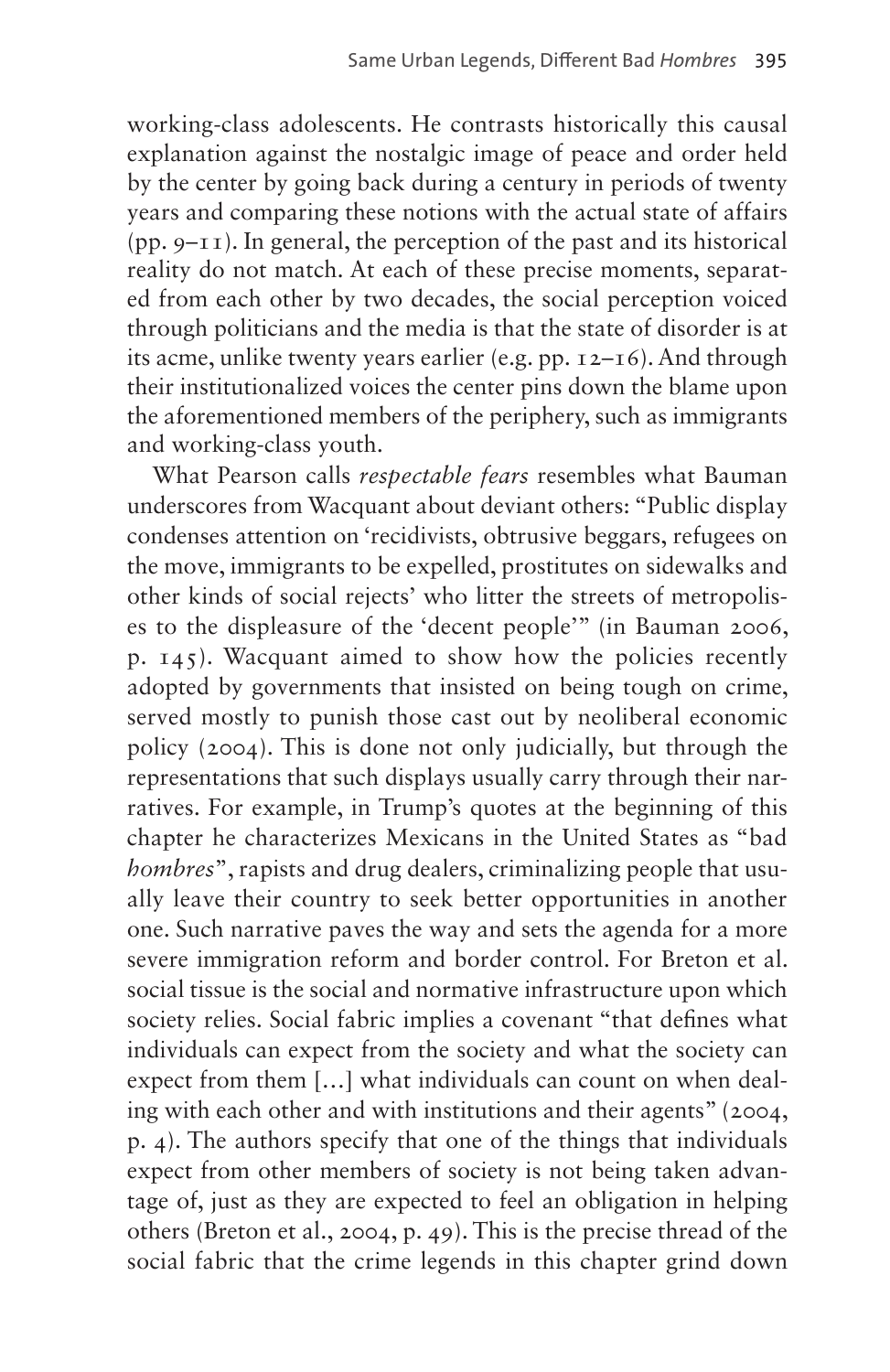working-class adolescents. He contrasts historically this causal explanation against the nostalgic image of peace and order held by the center by going back during a century in periods of twenty years and comparing these notions with the actual state of affairs  $(pp, q-1)$ . In general, the perception of the past and its historical reality do not match. At each of these precise moments, separated from each other by two decades, the social perception voiced through politicians and the media is that the state of disorder is at its acme, unlike twenty years earlier (e.g. pp. 12–16). And through their institutionalized voices the center pins down the blame upon the aforementioned members of the periphery, such as immigrants and working-class youth.

What Pearson calls *respectable fears* resembles what Bauman underscores from Wacquant about deviant others: "Public display condenses attention on 'recidivists, obtrusive beggars, refugees on the move, immigrants to be expelled, prostitutes on sidewalks and other kinds of social rejects' who litter the streets of metropolises to the displeasure of the 'decent people'" (in Bauman 2006, p. 145). Wacquant aimed to show how the policies recently adopted by governments that insisted on being tough on crime, served mostly to punish those cast out by neoliberal economic policy (2004). This is done not only judicially, but through the representations that such displays usually carry through their narratives. For example, in Trump's quotes at the beginning of this chapter he characterizes Mexicans in the United States as "bad *hombres*", rapists and drug dealers, criminalizing people that usually leave their country to seek better opportunities in another one. Such narrative paves the way and sets the agenda for a more severe immigration reform and border control. For Breton et al. social tissue is the social and normative infrastructure upon which society relies. Social fabric implies a covenant "that defines what individuals can expect from the society and what the society can expect from them […] what individuals can count on when dealing with each other and with institutions and their agents" (2004, p. 4). The authors specify that one of the things that individuals expect from other members of society is not being taken advantage of, just as they are expected to feel an obligation in helping others (Breton et al., 2004, p. 49). This is the precise thread of the social fabric that the crime legends in this chapter grind down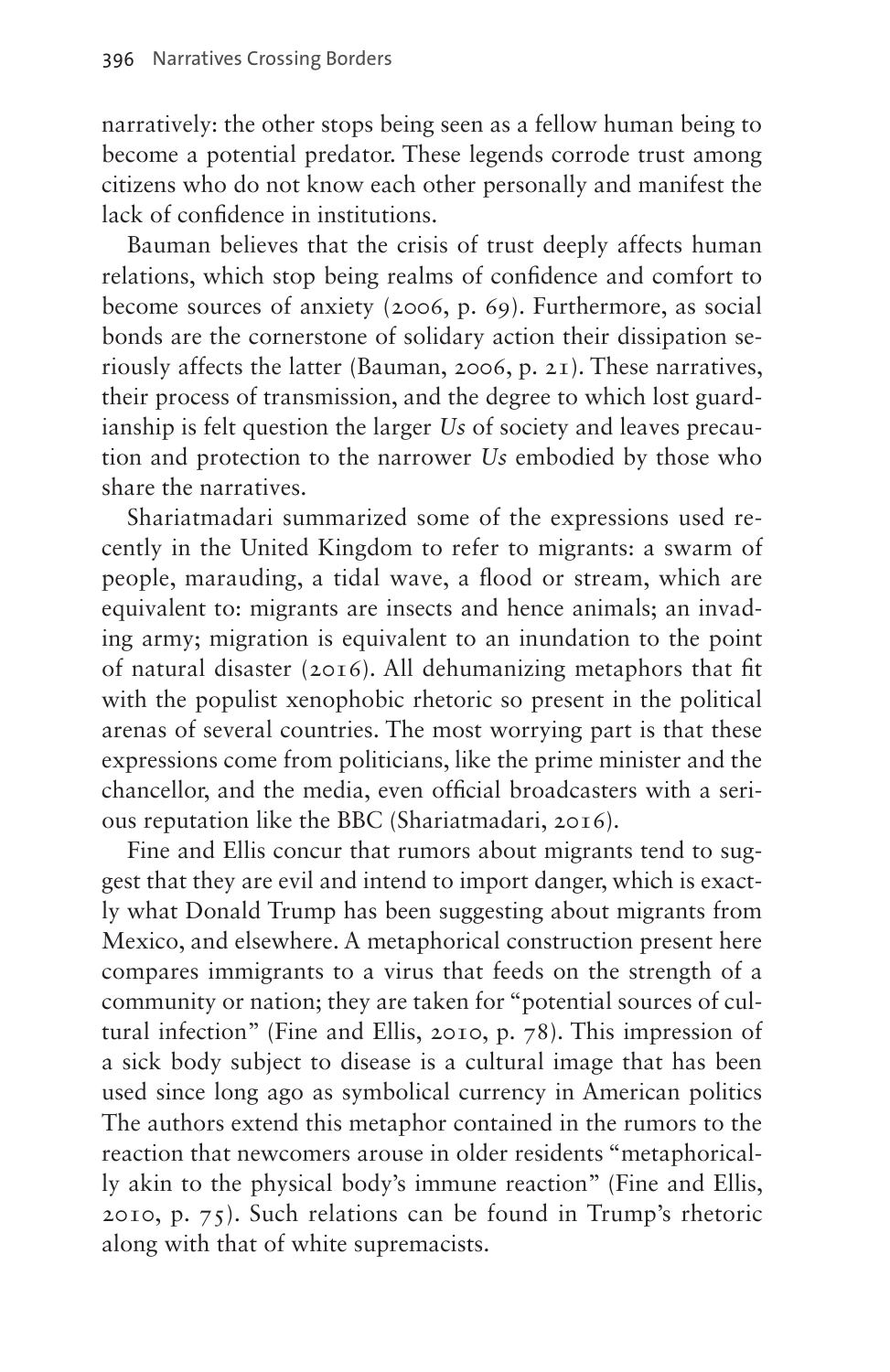narratively: the other stops being seen as a fellow human being to become a potential predator. These legends corrode trust among citizens who do not know each other personally and manifest the lack of confidence in institutions.

Bauman believes that the crisis of trust deeply affects human relations, which stop being realms of confidence and comfort to become sources of anxiety (2006, p. 69). Furthermore, as social bonds are the cornerstone of solidary action their dissipation seriously affects the latter (Bauman, 2006, p. 21). These narratives, their process of transmission, and the degree to which lost guardianship is felt question the larger *Us* of society and leaves precaution and protection to the narrower *Us* embodied by those who share the narratives.

Shariatmadari summarized some of the expressions used recently in the United Kingdom to refer to migrants: a swarm of people, marauding, a tidal wave, a flood or stream, which are equivalent to: migrants are insects and hence animals; an invading army; migration is equivalent to an inundation to the point of natural disaster (2016). All dehumanizing metaphors that fit with the populist xenophobic rhetoric so present in the political arenas of several countries. The most worrying part is that these expressions come from politicians, like the prime minister and the chancellor, and the media, even official broadcasters with a serious reputation like the BBC (Shariatmadari, 2016).

Fine and Ellis concur that rumors about migrants tend to suggest that they are evil and intend to import danger, which is exactly what Donald Trump has been suggesting about migrants from Mexico, and elsewhere. A metaphorical construction present here compares immigrants to a virus that feeds on the strength of a community or nation; they are taken for "potential sources of cultural infection" (Fine and Ellis, 2010, p. 78). This impression of a sick body subject to disease is a cultural image that has been used since long ago as symbolical currency in American politics The authors extend this metaphor contained in the rumors to the reaction that newcomers arouse in older residents "metaphorically akin to the physical body's immune reaction" (Fine and Ellis, 2010, p. 75). Such relations can be found in Trump's rhetoric along with that of white supremacists.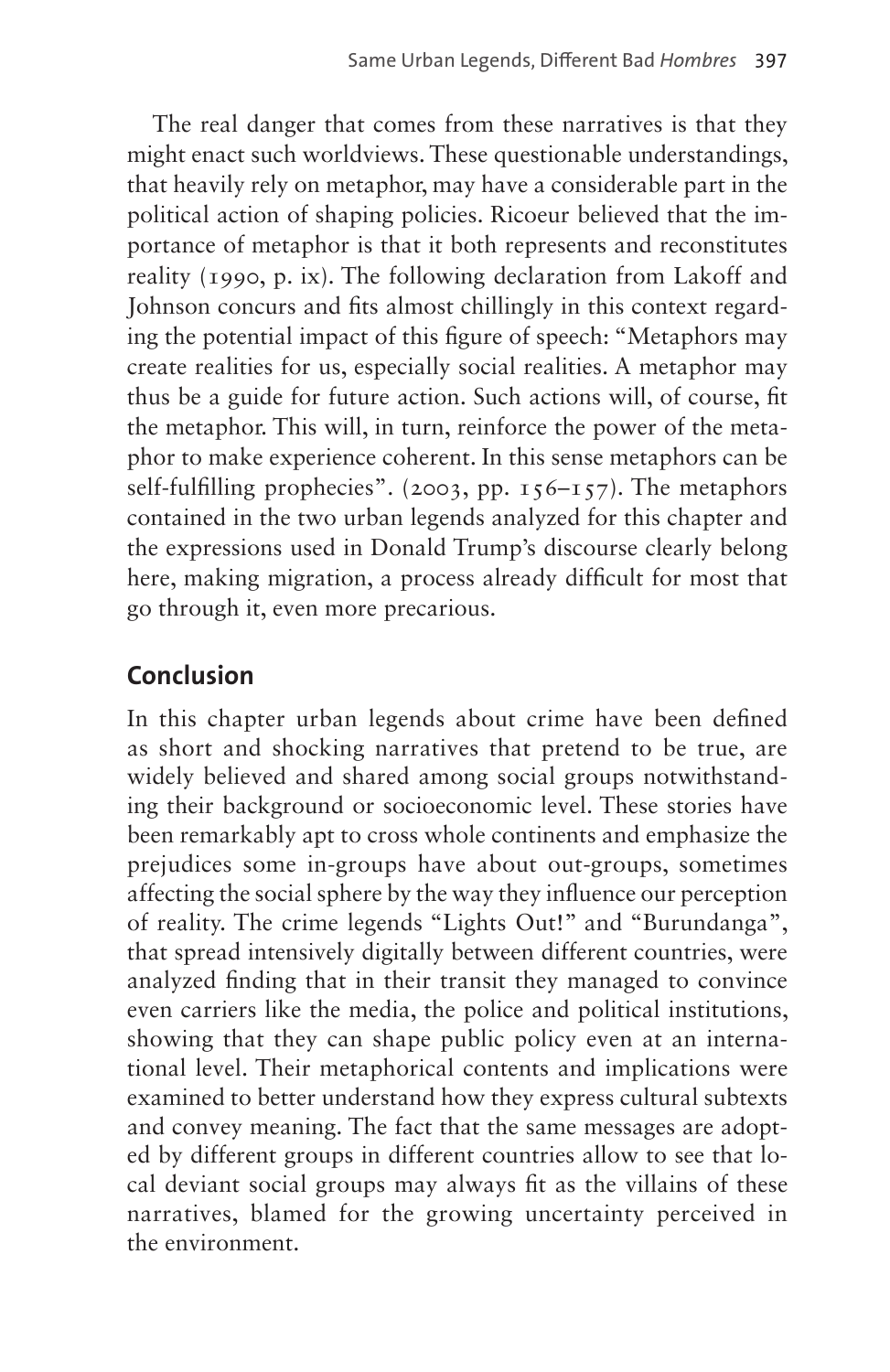The real danger that comes from these narratives is that they might enact such worldviews. These questionable understandings, that heavily rely on metaphor, may have a considerable part in the political action of shaping policies. Ricoeur believed that the importance of metaphor is that it both represents and reconstitutes reality (1990, p. ix). The following declaration from Lakoff and Johnson concurs and fits almost chillingly in this context regarding the potential impact of this figure of speech: "Metaphors may create realities for us, especially social realities. A metaphor may thus be a guide for future action. Such actions will, of course, fit the metaphor. This will, in turn, reinforce the power of the metaphor to make experience coherent. In this sense metaphors can be self-fulfilling prophecies". (2003, pp.  $156-157$ ). The metaphors contained in the two urban legends analyzed for this chapter and the expressions used in Donald Trump's discourse clearly belong here, making migration, a process already difficult for most that go through it, even more precarious.

# **Conclusion**

In this chapter urban legends about crime have been defined as short and shocking narratives that pretend to be true, are widely believed and shared among social groups notwithstanding their background or socioeconomic level. These stories have been remarkably apt to cross whole continents and emphasize the prejudices some in-groups have about out-groups, sometimes affecting the social sphere by the way they influence our perception of reality. The crime legends "Lights Out!" and "Burundanga", that spread intensively digitally between different countries, were analyzed finding that in their transit they managed to convince even carriers like the media, the police and political institutions, showing that they can shape public policy even at an international level. Their metaphorical contents and implications were examined to better understand how they express cultural subtexts and convey meaning. The fact that the same messages are adopted by different groups in different countries allow to see that local deviant social groups may always fit as the villains of these narratives, blamed for the growing uncertainty perceived in the environment.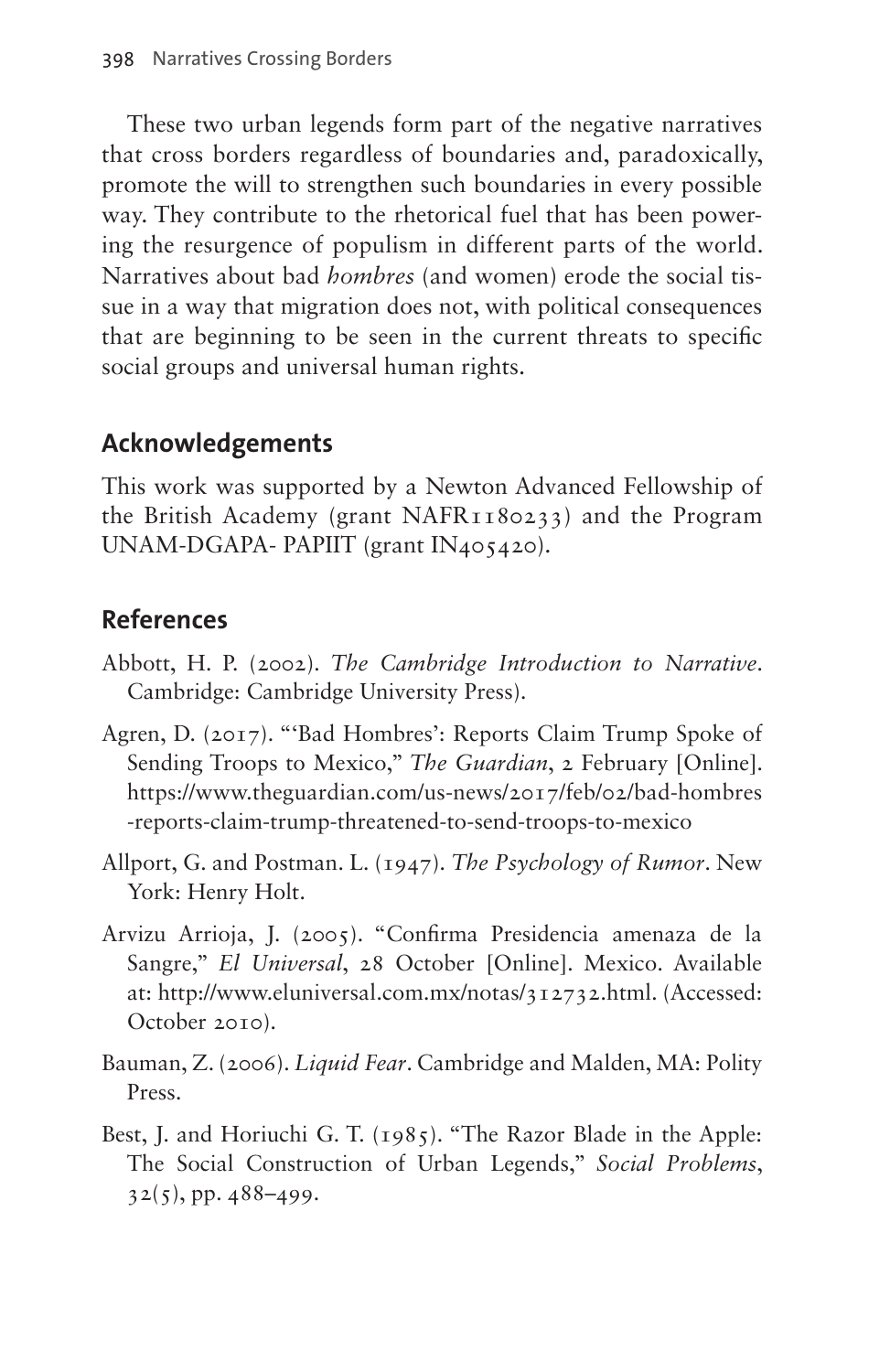These two urban legends form part of the negative narratives that cross borders regardless of boundaries and, paradoxically, promote the will to strengthen such boundaries in every possible way. They contribute to the rhetorical fuel that has been powering the resurgence of populism in different parts of the world. Narratives about bad *hombres* (and women) erode the social tissue in a way that migration does not, with political consequences that are beginning to be seen in the current threats to specific social groups and universal human rights.

## **Acknowledgements**

This work was supported by a Newton Advanced Fellowship of the British Academy (grant NAFR1180233) and the Program UNAM-DGAPA- PAPIIT (grant IN405420).

#### **References**

- Abbott, H. P. (2002). *The Cambridge Introduction to Narrative*. Cambridge: Cambridge University Press).
- Agren, D. (2017). "'Bad Hombres': Reports Claim Trump Spoke of Sending Troops to Mexico," *The Guardian*, 2 February [Online]. [https://www.theguardian.com/us-news/2017/feb/02/bad-hombres](https://www.theguardian.com/us-news/2017/feb/02/bad-hombres-reports-claim-trump-threatened-to-send-troops-to-mexico) [-reports-claim-trump-threatened-to-send-troops-to-mexico](https://www.theguardian.com/us-news/2017/feb/02/bad-hombres-reports-claim-trump-threatened-to-send-troops-to-mexico)
- Allport, G. and Postman. L. (1947). *The Psychology of Rumor*. New York: Henry Holt.
- Arvizu Arrioja, J. (2005). "Confirma Presidencia amenaza de la Sangre," *El Universal*, 28 October [Online]. Mexico. Available at: [http://www.eluniversal.com.mx/notas/312732.html.](http://www.eluniversal.com.mx/notas/312732.html) (Accessed: October 2010).
- Bauman, Z. (2006). *Liquid Fear*. Cambridge and Malden, MA: Polity Press.
- Best, J. and Horiuchi G. T. (1985). "The Razor Blade in the Apple: The Social Construction of Urban Legends," *Social Problems*,  $32(5)$ , pp.  $488-499$ .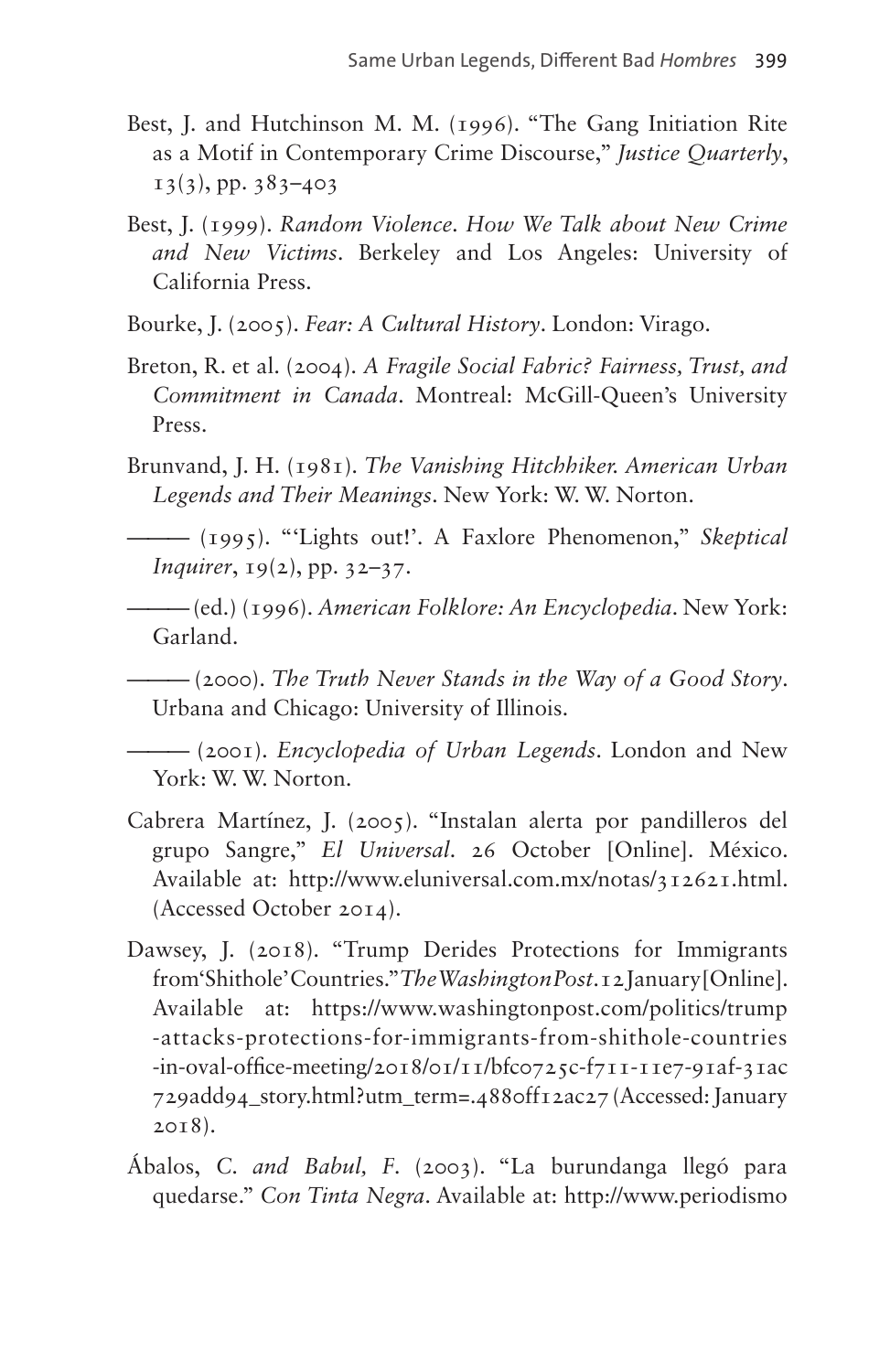- Best, J. and Hutchinson M. M. (1996). "The Gang Initiation Rite as a Motif in Contemporary Crime Discourse," *Justice Quarterly*,  $13(3)$ , pp.  $383-403$
- Best, J. (1999). *Random Violence. How We Talk about New Crime and New Victims*. Berkeley and Los Angeles: University of California Press.
- Bourke, J. (2005). *Fear: A Cultural History*. London: Virago.
- Breton, R. et al. (2004). *A Fragile Social Fabric? Fairness, Trust, and Commitment in Canada*. Montreal: McGill-Queen's University Press.
- Brunvand, J. H. (1981). *The Vanishing Hitchhiker. American Urban Legends and Their Meanings*. New York: W. W. Norton.

——— (1995). "'Lights out!'. A Faxlore Phenomenon," *Skeptical Inquirer*, 19(2), pp. 32–37.

——— (ed.) (1996). *American Folklore: An Encyclopedia*. New York: Garland.

——— (2000). *The Truth Never Stands in the Way of a Good Story*. Urbana and Chicago: University of Illinois.

——— (2001). *Encyclopedia of Urban Legends*. London and New York: W. W. Norton.

- Cabrera Martínez, J. (2005). "Instalan alerta por pandilleros del grupo Sangre," *El Universal*. 26 October [Online]. México. Available at: <http://www.eluniversal.com.mx/notas/312621.html>. (Accessed October 2014).
- Dawsey, J. (2018). "Trump Derides Protections for Immigrants from 'Shithole' Countries." *The Washington Post*. 12 January [Online]. Available at: [https://www.washingtonpost.com/politics/trump](https://www.washingtonpost.‌com/‌politics/‌trump‌-attacks-protections-for-immigrants-from-shithole-countries-in-oval-office-meeting/2018/‌01/‌11/bfc0725c-f711-11e7-91af-31ac729add94_story.html?utm_term=.‌4880ff12ac27) [-attacks-protections-for-immigrants-from-shithole-countries](https://www.washingtonpost.‌com/‌politics/‌trump‌-attacks-protections-for-immigrants-from-shithole-countries-in-oval-office-meeting/2018/‌01/‌11/bfc0725c-f711-11e7-91af-31ac729add94_story.html?utm_term=.‌4880ff12ac27) [-in-oval-office-meeting/2018/01/11/bfc0725c-f711-11e7-91af-31ac](https://www.washingtonpost.‌com/‌politics/‌trump‌-attacks-protections-for-immigrants-from-shithole-countries-in-oval-office-meeting/2018/‌01/‌11/bfc0725c-f711-11e7-91af-31ac729add94_story.html?utm_term=.‌4880ff12ac27) [729add94\\_story.html?utm\\_term=.4880ff12ac27](https://www.washingtonpost.‌com/‌politics/‌trump‌-attacks-protections-for-immigrants-from-shithole-countries-in-oval-office-meeting/2018/‌01/‌11/bfc0725c-f711-11e7-91af-31ac729add94_story.html?utm_term=.‌4880ff12ac27) (Accessed: January 2018).
- Ábalos, *C. and Babul, F*. (2003). "La burundanga llegó para quedarse." *Con Tinta Negra*. Available at: [http://www.periodismo](http://‌www.periodismo.uchile.cl/contintanegra/2003/octubre/sociedad2.html)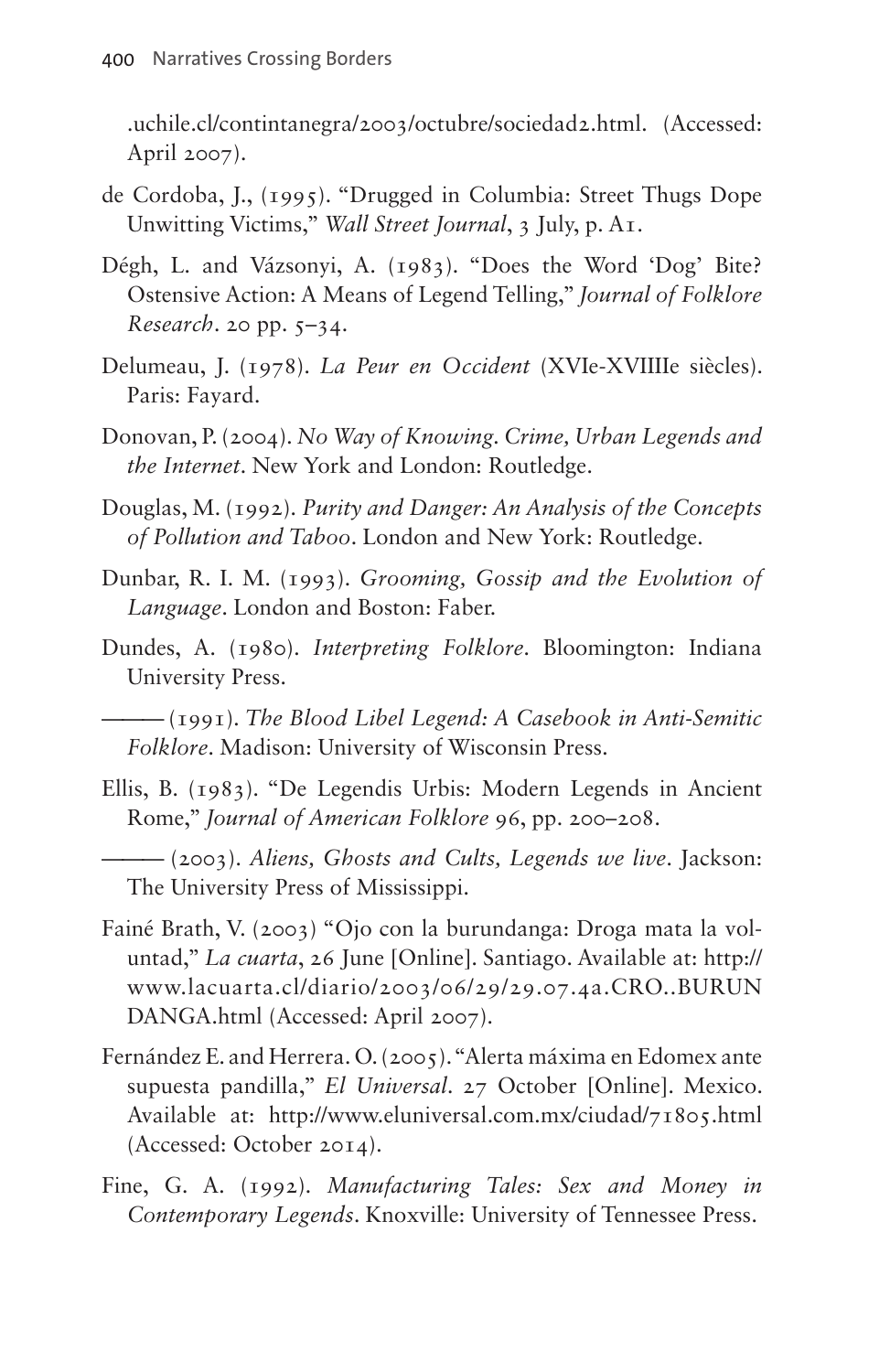[.uchile.cl/contintanegra/2003/octubre/sociedad2.html](http://‌www.periodismo.uchile.cl/contintanegra/2003/octubre/sociedad2.html). (Accessed: April 2007).

- de Cordoba, J., (1995). "Drugged in Columbia: Street Thugs Dope Unwitting Victims," *Wall Street Journal*, 3 July, p. A1.
- Dégh, L. and Vázsonyi, A. (1983). "Does the Word 'Dog' Bite? Ostensive Action: A Means of Legend Telling," *Journal of Folklore Research*. 20 pp. 5–34.
- Delumeau, J. (1978). *La Peur en Occident* (XVIe-XVIIIIe siècles). Paris: Fayard.
- Donovan, P. (2004). *No Way of Knowing. Crime, Urban Legends and the Internet*. New York and London: Routledge.
- Douglas, M. (1992). *Purity and Danger: An Analysis of the Concepts of Pollution and Taboo*. London and New York: Routledge.
- Dunbar, R. I. M. (1993). *Grooming, Gossip and the Evolution of Language*. London and Boston: Faber.
- Dundes, A. (1980). *Interpreting Folklore*. Bloomington: Indiana University Press.

——— (1991). *The Blood Libel Legend: A Casebook in Anti-Semitic Folklore*. Madison: University of Wisconsin Press.

- Ellis, B. (1983). "De Legendis Urbis: Modern Legends in Ancient Rome," *Journal of American Folklore* 96, pp. 200–208.
	- ——— (2003). *Aliens, Ghosts and Cults, Legends we live*. Jackson: The University Press of Mississippi.
- Fainé Brath, V. (2003) "Ojo con la burundanga: Droga mata la voluntad," *La cuarta*, 26 June [Online]. Santiago. Available at: [http://](http://www.lacuarta.cl/‌diario/2003/‌06/29/29.07.4a.‌CRO..‌BURUNDANGA.‌html) [www.lacuarta.cl/diario/2003/06/29/29.07.4a.CRO..BURUN](http://www.lacuarta.cl/‌diario/2003/‌06/29/29.07.4a.‌CRO..‌BURUNDANGA.‌html) [DANGA.html](http://www.lacuarta.cl/‌diario/2003/‌06/29/29.07.4a.‌CRO..‌BURUNDANGA.‌html) (Accessed: April 2007).
- Fernández E. and Herrera. O. (2005). "Alerta máxima en Edomex ante supuesta pandilla," *El Universal*. 27 October [Online]. Mexico. Available at: [http://www.eluniversal.com.mx/ciudad/71805.html](http://www.‌eluniversal.‌com.‌mx/‌ciudad/‌71805.html) (Accessed: October 2014).
- Fine, G. A. (1992). *Manufacturing Tales: Sex and Money in Contemporary Legends*. Knoxville: University of Tennessee Press.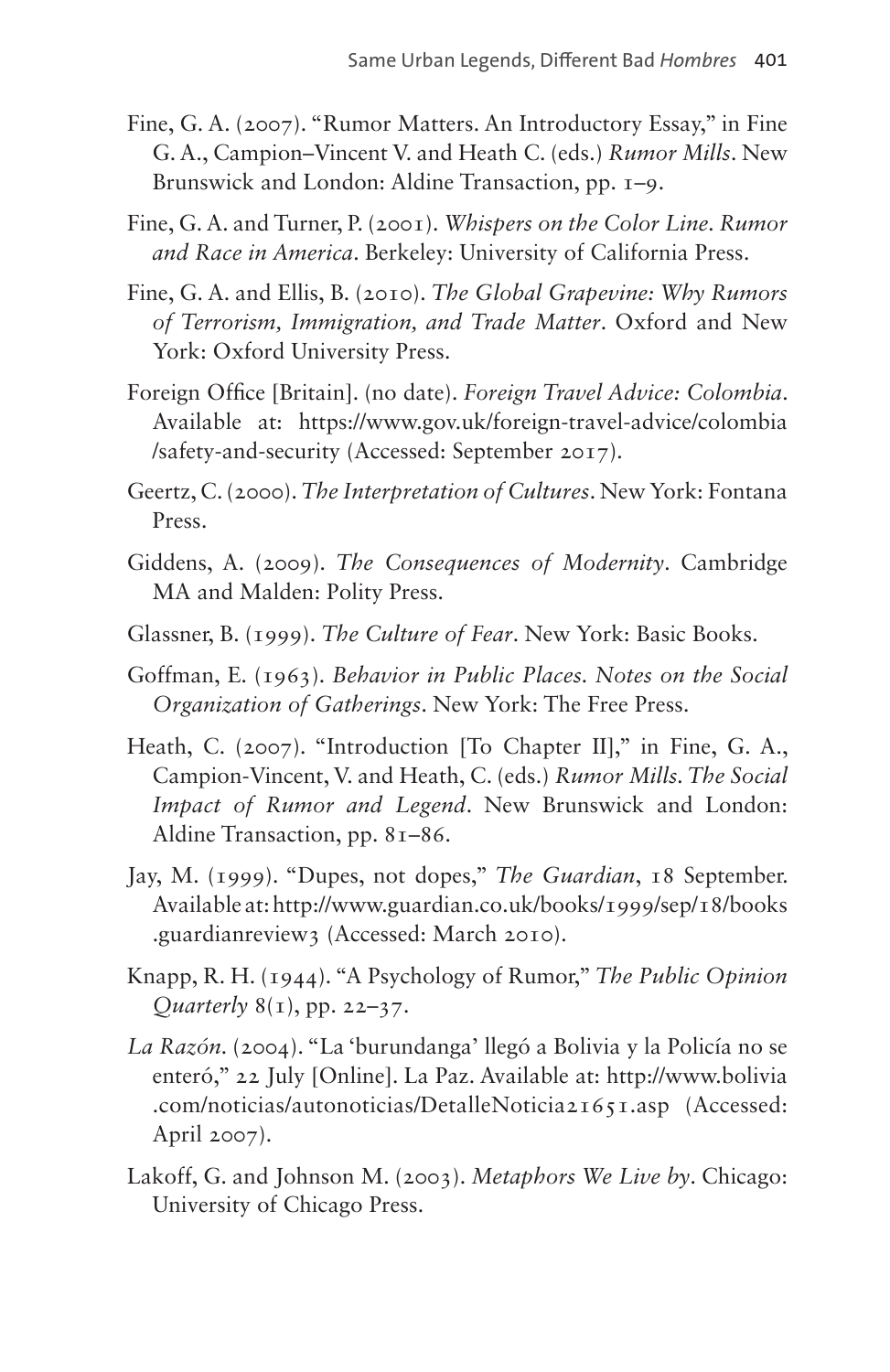- Fine, G. A. (2007). "Rumor Matters. An Introductory Essay," in Fine G. A., Campion–Vincent V. and Heath C. (eds.) *Rumor Mills*. New Brunswick and London: Aldine Transaction, pp. 1–9.
- Fine, G. A. and Turner, P. (2001). *Whispers on the Color Line. Rumor and Race in America*. Berkeley: University of California Press.
- Fine, G. A. and Ellis, B. (2010). *The Global Grapevine: Why Rumors of Terrorism, Immigration, and Trade Matter*. Oxford and New York: Oxford University Press.
- Foreign Office [Britain]. (no date). *Foreign Travel Advice: Colombia*. Available at: [https://www.gov.uk/foreign-travel-advice/colombia](https://‌www.‌gov.‌uk/‌foreign-travel-advice/colombia/safety-and-security) [/safety-and-security](https://‌www.‌gov.‌uk/‌foreign-travel-advice/colombia/safety-and-security) (Accessed: September 2017).
- Geertz, C. (2000). *The Interpretation of Cultures*. New York: Fontana Press.
- Giddens, A. (2009). *The Consequences of Modernity*. Cambridge MA and Malden: Polity Press.
- Glassner, B. (1999). *The Culture of Fear*. New York: Basic Books.
- Goffman, E. (1963). *Behavior in Public Places. Notes on the Social Organization of Gatherings*. New York: The Free Press.
- Heath, C. (2007). "Introduction [To Chapter II]," in Fine, G. A., Campion-Vincent, V. and Heath, C. (eds.) *Rumor Mills. The Social Impact of Rumor and Legend*. New Brunswick and London: Aldine Transaction, pp. 81–86.
- Jay, M. (1999). "Dupes, not dopes," *The Guardian*, 18 September. Available at: [http://www.guardian.co.uk/books/1999/sep/18/books](http://‌www.‌guardian.‌co.uk/‌books/1999/sep/18/books.guardianreview3) [.guardianreview3](http://‌www.‌guardian.‌co.uk/‌books/1999/sep/18/books.guardianreview3) (Accessed: March 2010).
- Knapp, R. H. (1944). "A Psychology of Rumor," *The Public Opinion Quarterly* 8(1), pp. 22–37.
- *La Razón.* (2004). "La 'burundanga' llegó a Bolivia y la Policía no se enteró," 22 July [Online]. La Paz. Available at: [http:// www.bolivia](http://‌‌www.bolivia.com/noticias/autonoticias/DetalleNoticia21651.asp) [.com/noticias/autonoticias/DetalleNoticia21651.asp](http://‌‌www.bolivia.com/noticias/autonoticias/DetalleNoticia21651.asp) (Accessed: April 2007).
- Lakoff, G. and Johnson M. (2003). *Metaphors We Live by*. Chicago: University of Chicago Press.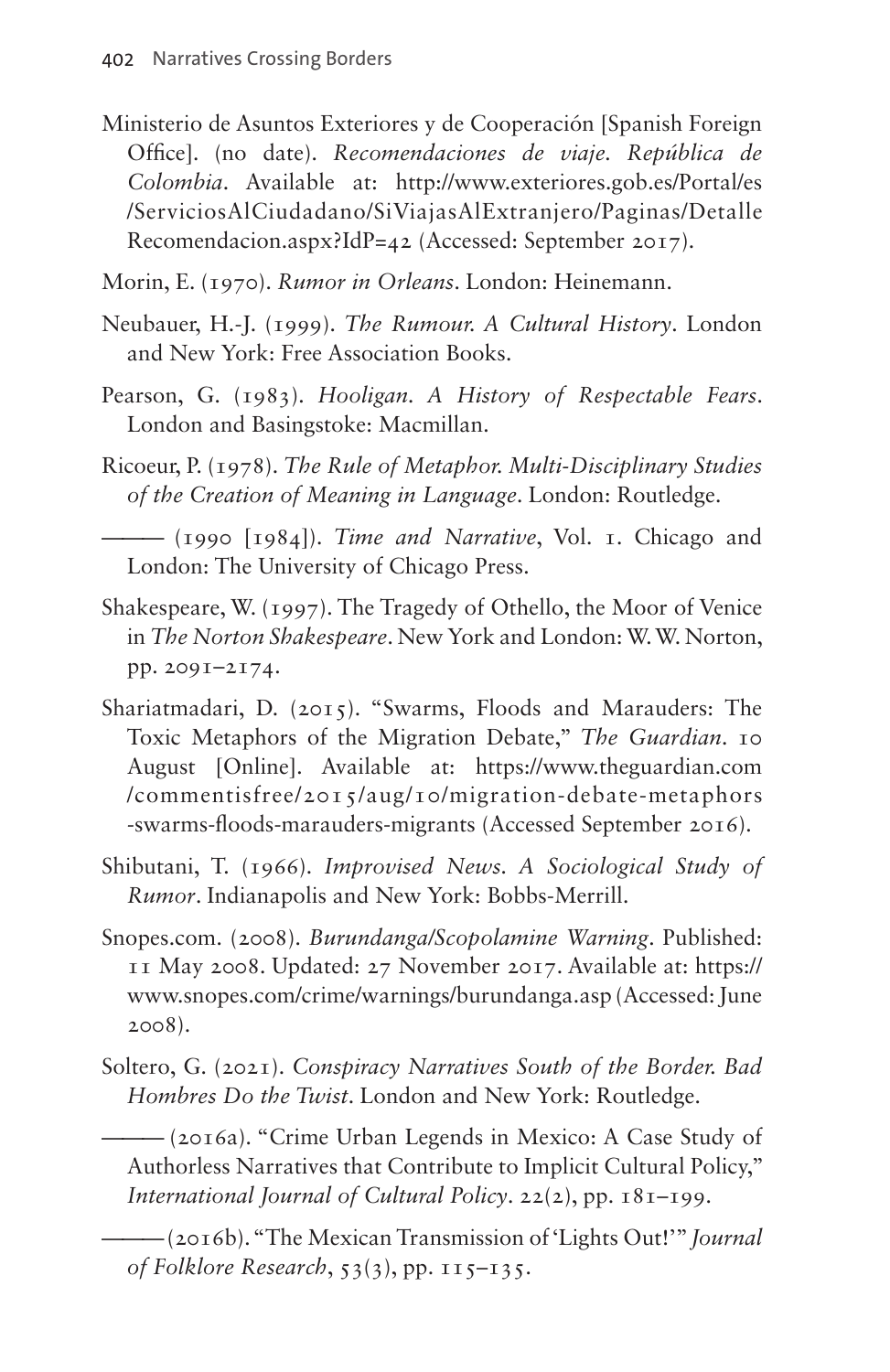- Ministerio de Asuntos Exteriores y de Cooperación [Spanish Foreign Office]. (no date). *Recomendaciones de viaje. República de Colombia*. Available at: [http://www.exteriores.gob.es/Portal/es](http://www.‌exteriores.‌gob.‌es/‌Portal/es/ServiciosAlCiudadano/SiViajasAlExtranjero/Paginas/DetalleRecomendacion.aspx?‌IdP=‌42) [/ServiciosAlCiudadano/SiViajasAlExtranjero/Paginas/Detalle](http://www.‌exteriores.‌gob.‌es/‌Portal/es/ServiciosAlCiudadano/SiViajasAlExtranjero/Paginas/DetalleRecomendacion.aspx?‌IdP=‌42) [Recomendacion.aspx?IdP=42](http://www.‌exteriores.‌gob.‌es/‌Portal/es/ServiciosAlCiudadano/SiViajasAlExtranjero/Paginas/DetalleRecomendacion.aspx?‌IdP=‌42) (Accessed: September 2017).
- Morin, E. (1970). *Rumor in Orleans*. London: Heinemann.
- Neubauer, H.-J. (1999). *The Rumour. A Cultural History*. London and New York: Free Association Books.
- Pearson, G. (1983). *Hooligan. A History of Respectable Fears*. London and Basingstoke: Macmillan.
- Ricoeur, P. (1978). *The Rule of Metaphor. Multi-Disciplinary Studies of the Creation of Meaning in Language*. London: Routledge.

——— (1990 [1984]). *Time and Narrative*, Vol. 1. Chicago and London: The University of Chicago Press.

- Shakespeare, W. (1997). The Tragedy of Othello, the Moor of Venice in *The Norton Shakespeare*. New York and London: W. W. Norton, pp. 2091–2174.
- Shariatmadari, D. (2015). "Swarms, Floods and Marauders: The Toxic Metaphors of the Migration Debate," *The Guardian*. 10 August [Online]. Available at: [https://www.theguardian.com](https://www.theguardian.com/‌commentisfree/‌2015/aug/10/migration-debate-metaphors-swarms-floods-marauders-migrants) [/commentisfree/2015/aug/10/migration-debate-metaphors](https://www.theguardian.com/‌commentisfree/‌2015/aug/10/migration-debate-metaphors-swarms-floods-marauders-migrants) [-swarms-floods-marauders-migrants](https://www.theguardian.com/‌commentisfree/‌2015/aug/10/migration-debate-metaphors-swarms-floods-marauders-migrants) (Accessed September 2016).
- Shibutani, T. (1966). *Improvised News. A Sociological Study of Rumor*. Indianapolis and New York: Bobbs-Merrill.
- [Snopes.com](http://Snopes.com). (2008). *Burundanga/Scopolamine Warning*. Published: 11 May 2008. Updated: 27 November 2017. Available at: [https://](https://www.snopes.com/crime/warnings/burundanga.asp) [www.snopes.com/crime/warnings/burundanga.asp](https://www.snopes.com/crime/warnings/burundanga.asp) (Accessed: June 2008).
- Soltero, G. (2021). *Conspiracy Narratives South of the Border. Bad Hombres Do the Twist*. London and New York: Routledge.

——— (2016a). "Crime Urban Legends in Mexico: A Case Study of Authorless Narratives that Contribute to Implicit Cultural Policy," *International Journal of Cultural Policy*. 22(2), pp. 181–199.

——— (2016b). "The Mexican Transmission of 'Lights Out!'" *Journal of Folklore Research*, 53(3), pp. 115–135.